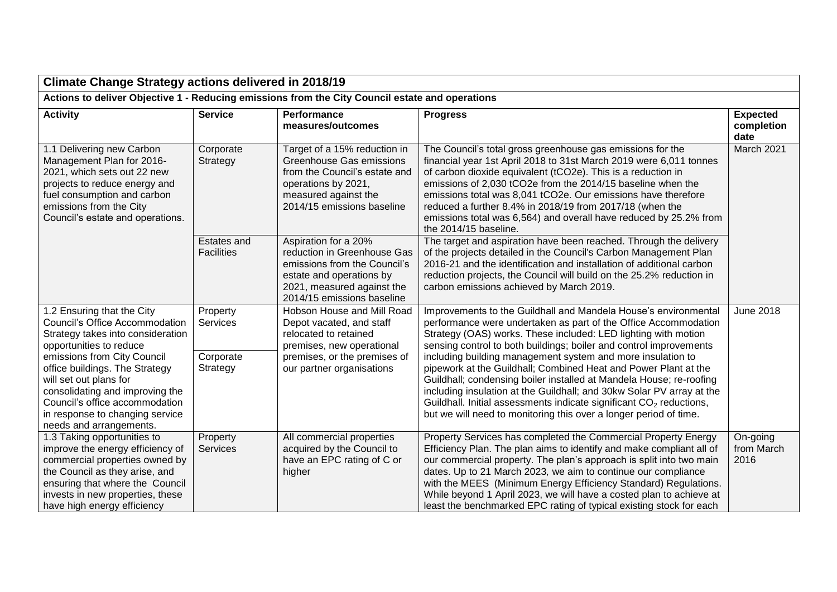| <b>Climate Change Strategy actions delivered in 2018/19</b>                                                                                                                                                                                                                                                                                                |                                                      |                                                                                                                                                                             |                                                                                                                                                                                                                                                                                                                                                                                                                                                                                                                                                                                                                                                                                                            |                                       |
|------------------------------------------------------------------------------------------------------------------------------------------------------------------------------------------------------------------------------------------------------------------------------------------------------------------------------------------------------------|------------------------------------------------------|-----------------------------------------------------------------------------------------------------------------------------------------------------------------------------|------------------------------------------------------------------------------------------------------------------------------------------------------------------------------------------------------------------------------------------------------------------------------------------------------------------------------------------------------------------------------------------------------------------------------------------------------------------------------------------------------------------------------------------------------------------------------------------------------------------------------------------------------------------------------------------------------------|---------------------------------------|
| Actions to deliver Objective 1 - Reducing emissions from the City Council estate and operations                                                                                                                                                                                                                                                            |                                                      |                                                                                                                                                                             |                                                                                                                                                                                                                                                                                                                                                                                                                                                                                                                                                                                                                                                                                                            |                                       |
| <b>Activity</b>                                                                                                                                                                                                                                                                                                                                            | <b>Service</b>                                       | <b>Performance</b><br>measures/outcomes                                                                                                                                     | <b>Progress</b>                                                                                                                                                                                                                                                                                                                                                                                                                                                                                                                                                                                                                                                                                            | <b>Expected</b><br>completion<br>date |
| 1.1 Delivering new Carbon<br>Management Plan for 2016-<br>2021, which sets out 22 new<br>projects to reduce energy and<br>fuel consumption and carbon<br>emissions from the City<br>Council's estate and operations.                                                                                                                                       | Corporate<br>Strategy                                | Target of a 15% reduction in<br>Greenhouse Gas emissions<br>from the Council's estate and<br>operations by 2021,<br>measured against the<br>2014/15 emissions baseline      | The Council's total gross greenhouse gas emissions for the<br>financial year 1st April 2018 to 31st March 2019 were 6,011 tonnes<br>of carbon dioxide equivalent (tCO2e). This is a reduction in<br>emissions of 2,030 tCO2e from the 2014/15 baseline when the<br>emissions total was 8,041 tCO2e. Our emissions have therefore<br>reduced a further 8.4% in 2018/19 from 2017/18 (when the<br>emissions total was 6,564) and overall have reduced by 25.2% from<br>the 2014/15 baseline.                                                                                                                                                                                                                 | March 2021                            |
|                                                                                                                                                                                                                                                                                                                                                            | <b>Estates and</b><br><b>Facilities</b>              | Aspiration for a 20%<br>reduction in Greenhouse Gas<br>emissions from the Council's<br>estate and operations by<br>2021, measured against the<br>2014/15 emissions baseline | The target and aspiration have been reached. Through the delivery<br>of the projects detailed in the Council's Carbon Management Plan<br>2016-21 and the identification and installation of additional carbon<br>reduction projects, the Council will build on the 25.2% reduction in<br>carbon emissions achieved by March 2019.                                                                                                                                                                                                                                                                                                                                                                          |                                       |
| 1.2 Ensuring that the City<br>Council's Office Accommodation<br>Strategy takes into consideration<br>opportunities to reduce<br>emissions from City Council<br>office buildings. The Strategy<br>will set out plans for<br>consolidating and improving the<br>Council's office accommodation<br>in response to changing service<br>needs and arrangements. | Property<br><b>Services</b><br>Corporate<br>Strategy | Hobson House and Mill Road<br>Depot vacated, and staff<br>relocated to retained<br>premises, new operational<br>premises, or the premises of<br>our partner organisations   | Improvements to the Guildhall and Mandela House's environmental<br>performance were undertaken as part of the Office Accommodation<br>Strategy (OAS) works. These included: LED lighting with motion<br>sensing control to both buildings; boiler and control improvements<br>including building management system and more insulation to<br>pipework at the Guildhall; Combined Heat and Power Plant at the<br>Guildhall; condensing boiler installed at Mandela House; re-roofing<br>including insulation at the Guildhall; and 30kw Solar PV array at the<br>Guildhall. Initial assessments indicate significant $CO2$ reductions,<br>but we will need to monitoring this over a longer period of time. | <b>June 2018</b>                      |
| 1.3 Taking opportunities to<br>improve the energy efficiency of<br>commercial properties owned by<br>the Council as they arise, and<br>ensuring that where the Council<br>invests in new properties, these<br>have high energy efficiency                                                                                                                  | Property<br><b>Services</b>                          | All commercial properties<br>acquired by the Council to<br>have an EPC rating of C or<br>higher                                                                             | Property Services has completed the Commercial Property Energy<br>Efficiency Plan. The plan aims to identify and make compliant all of<br>our commercial property. The plan's approach is split into two main<br>dates. Up to 21 March 2023, we aim to continue our compliance<br>with the MEES (Minimum Energy Efficiency Standard) Regulations.<br>While beyond 1 April 2023, we will have a costed plan to achieve at<br>least the benchmarked EPC rating of typical existing stock for each                                                                                                                                                                                                            | On-going<br>from March<br>2016        |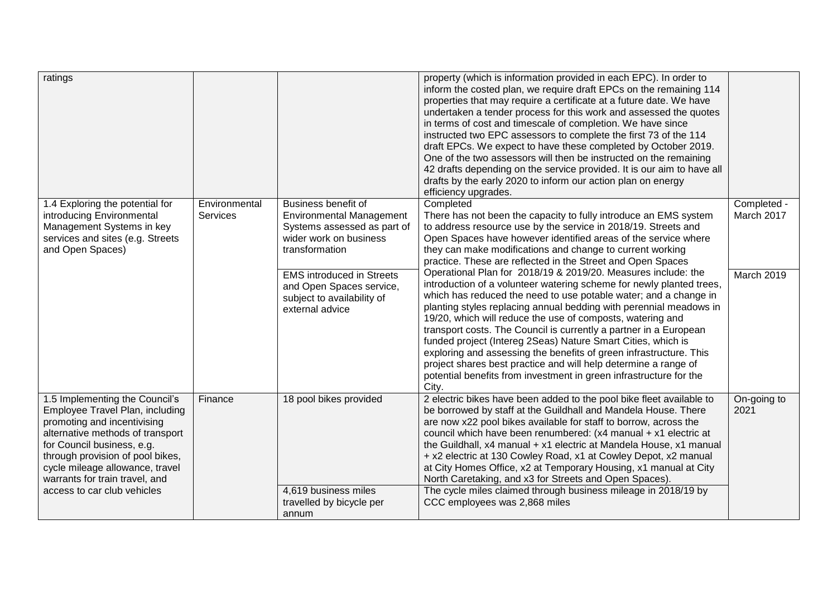| ratings                                                                                                                                                                                                                                                                                                    |                           |                                                                                                                                                                                                                                                    | property (which is information provided in each EPC). In order to<br>inform the costed plan, we require draft EPCs on the remaining 114<br>properties that may require a certificate at a future date. We have<br>undertaken a tender process for this work and assessed the quotes<br>in terms of cost and timescale of completion. We have since<br>instructed two EPC assessors to complete the first 73 of the 114<br>draft EPCs. We expect to have these completed by October 2019.<br>One of the two assessors will then be instructed on the remaining<br>42 drafts depending on the service provided. It is our aim to have all<br>drafts by the early 2020 to inform our action plan on energy<br>efficiency upgrades.                                                                                                                                                                                                                                                                                                                             |                                         |
|------------------------------------------------------------------------------------------------------------------------------------------------------------------------------------------------------------------------------------------------------------------------------------------------------------|---------------------------|----------------------------------------------------------------------------------------------------------------------------------------------------------------------------------------------------------------------------------------------------|-------------------------------------------------------------------------------------------------------------------------------------------------------------------------------------------------------------------------------------------------------------------------------------------------------------------------------------------------------------------------------------------------------------------------------------------------------------------------------------------------------------------------------------------------------------------------------------------------------------------------------------------------------------------------------------------------------------------------------------------------------------------------------------------------------------------------------------------------------------------------------------------------------------------------------------------------------------------------------------------------------------------------------------------------------------|-----------------------------------------|
| 1.4 Exploring the potential for<br>introducing Environmental<br>Management Systems in key<br>services and sites (e.g. Streets<br>and Open Spaces)                                                                                                                                                          | Environmental<br>Services | Business benefit of<br><b>Environmental Management</b><br>Systems assessed as part of<br>wider work on business<br>transformation<br><b>EMS introduced in Streets</b><br>and Open Spaces service,<br>subject to availability of<br>external advice | Completed<br>There has not been the capacity to fully introduce an EMS system<br>to address resource use by the service in 2018/19. Streets and<br>Open Spaces have however identified areas of the service where<br>they can make modifications and change to current working<br>practice. These are reflected in the Street and Open Spaces<br>Operational Plan for 2018/19 & 2019/20. Measures include: the<br>introduction of a volunteer watering scheme for newly planted trees,<br>which has reduced the need to use potable water; and a change in<br>planting styles replacing annual bedding with perennial meadows in<br>19/20, which will reduce the use of composts, watering and<br>transport costs. The Council is currently a partner in a European<br>funded project (Intereg 2Seas) Nature Smart Cities, which is<br>exploring and assessing the benefits of green infrastructure. This<br>project shares best practice and will help determine a range of<br>potential benefits from investment in green infrastructure for the<br>City. | Completed -<br>March 2017<br>March 2019 |
| 1.5 Implementing the Council's<br>Employee Travel Plan, including<br>promoting and incentivising<br>alternative methods of transport<br>for Council business, e.g.<br>through provision of pool bikes,<br>cycle mileage allowance, travel<br>warrants for train travel, and<br>access to car club vehicles | Finance                   | 18 pool bikes provided<br>4,619 business miles<br>travelled by bicycle per<br>annum                                                                                                                                                                | 2 electric bikes have been added to the pool bike fleet available to<br>be borrowed by staff at the Guildhall and Mandela House. There<br>are now x22 pool bikes available for staff to borrow, across the<br>council which have been renumbered: (x4 manual + x1 electric at<br>the Guildhall, x4 manual + x1 electric at Mandela House, x1 manual<br>+ x2 electric at 130 Cowley Road, x1 at Cowley Depot, x2 manual<br>at City Homes Office, x2 at Temporary Housing, x1 manual at City<br>North Caretaking, and x3 for Streets and Open Spaces).<br>The cycle miles claimed through business mileage in 2018/19 by<br>CCC employees was 2,868 miles                                                                                                                                                                                                                                                                                                                                                                                                     | On-going to<br>2021                     |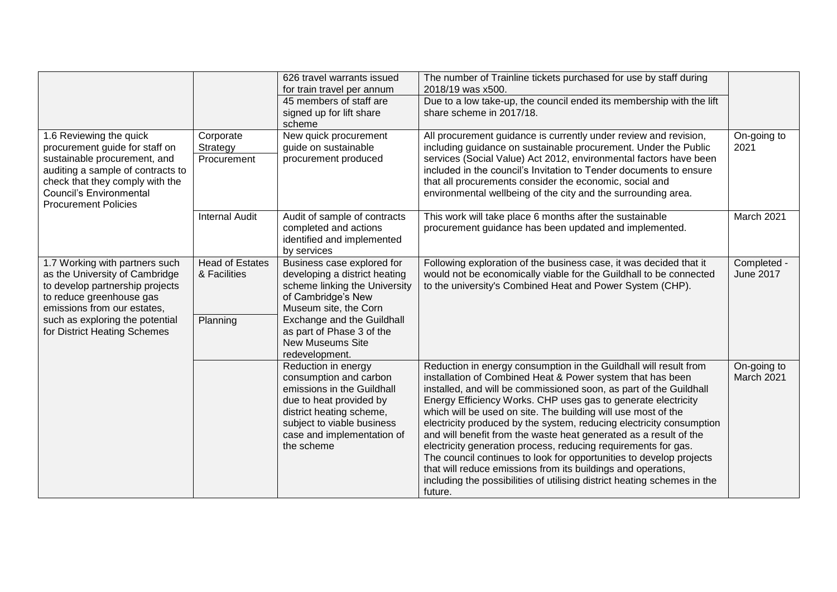| 1.6 Reviewing the quick<br>procurement guide for staff on<br>sustainable procurement, and<br>auditing a sample of contracts to<br>check that they comply with the<br><b>Council's Environmental</b><br><b>Procurement Policies</b> | Corporate<br>Strategy<br>Procurement   | 626 travel warrants issued<br>for train travel per annum<br>45 members of staff are<br>signed up for lift share<br>scheme<br>New quick procurement<br>guide on sustainable<br>procurement produced           | The number of Trainline tickets purchased for use by staff during<br>2018/19 was x500.<br>Due to a low take-up, the council ended its membership with the lift<br>share scheme in 2017/18.<br>All procurement guidance is currently under review and revision,<br>including guidance on sustainable procurement. Under the Public<br>services (Social Value) Act 2012, environmental factors have been<br>included in the council's Invitation to Tender documents to ensure<br>that all procurements consider the economic, social and<br>environmental wellbeing of the city and the surrounding area.                                                                                                                                                                              | On-going to<br>2021              |
|------------------------------------------------------------------------------------------------------------------------------------------------------------------------------------------------------------------------------------|----------------------------------------|--------------------------------------------------------------------------------------------------------------------------------------------------------------------------------------------------------------|---------------------------------------------------------------------------------------------------------------------------------------------------------------------------------------------------------------------------------------------------------------------------------------------------------------------------------------------------------------------------------------------------------------------------------------------------------------------------------------------------------------------------------------------------------------------------------------------------------------------------------------------------------------------------------------------------------------------------------------------------------------------------------------|----------------------------------|
|                                                                                                                                                                                                                                    | <b>Internal Audit</b>                  | Audit of sample of contracts<br>completed and actions<br>identified and implemented<br>by services                                                                                                           | This work will take place 6 months after the sustainable<br>procurement guidance has been updated and implemented.                                                                                                                                                                                                                                                                                                                                                                                                                                                                                                                                                                                                                                                                    | March 2021                       |
| 1.7 Working with partners such<br>as the University of Cambridge<br>to develop partnership projects<br>to reduce greenhouse gas<br>emissions from our estates,                                                                     | <b>Head of Estates</b><br>& Facilities | Business case explored for<br>developing a district heating<br>scheme linking the University<br>of Cambridge's New<br>Museum site, the Corn                                                                  | Following exploration of the business case, it was decided that it<br>would not be economically viable for the Guildhall to be connected<br>to the university's Combined Heat and Power System (CHP).                                                                                                                                                                                                                                                                                                                                                                                                                                                                                                                                                                                 | Completed -<br><b>June 2017</b>  |
| such as exploring the potential<br>for District Heating Schemes                                                                                                                                                                    | Planning                               | Exchange and the Guildhall<br>as part of Phase 3 of the<br><b>New Museums Site</b><br>redevelopment.                                                                                                         |                                                                                                                                                                                                                                                                                                                                                                                                                                                                                                                                                                                                                                                                                                                                                                                       |                                  |
|                                                                                                                                                                                                                                    |                                        | Reduction in energy<br>consumption and carbon<br>emissions in the Guildhall<br>due to heat provided by<br>district heating scheme,<br>subject to viable business<br>case and implementation of<br>the scheme | Reduction in energy consumption in the Guildhall will result from<br>installation of Combined Heat & Power system that has been<br>installed, and will be commissioned soon, as part of the Guildhall<br>Energy Efficiency Works. CHP uses gas to generate electricity<br>which will be used on site. The building will use most of the<br>electricity produced by the system, reducing electricity consumption<br>and will benefit from the waste heat generated as a result of the<br>electricity generation process, reducing requirements for gas.<br>The council continues to look for opportunities to develop projects<br>that will reduce emissions from its buildings and operations,<br>including the possibilities of utilising district heating schemes in the<br>future. | On-going to<br><b>March 2021</b> |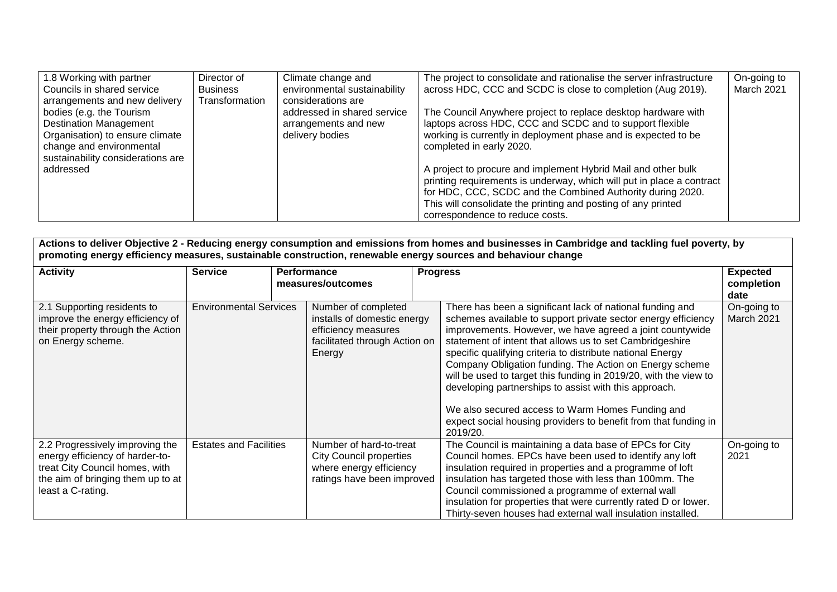| 1.8 Working with partner          | Director of     | Climate change and           | The project to consolidate and rationalise the server infrastructure  | On-going to |
|-----------------------------------|-----------------|------------------------------|-----------------------------------------------------------------------|-------------|
| Councils in shared service        | <b>Business</b> | environmental sustainability | across HDC, CCC and SCDC is close to completion (Aug 2019).           | March 2021  |
| arrangements and new delivery     | Transformation  | considerations are           |                                                                       |             |
| bodies (e.g. the Tourism          |                 | addressed in shared service  | The Council Anywhere project to replace desktop hardware with         |             |
| <b>Destination Management</b>     |                 | arrangements and new         | laptops across HDC, CCC and SCDC and to support flexible              |             |
| Organisation) to ensure climate   |                 | delivery bodies              | working is currently in deployment phase and is expected to be        |             |
| change and environmental          |                 |                              | completed in early 2020.                                              |             |
| sustainability considerations are |                 |                              |                                                                       |             |
| addressed                         |                 |                              | A project to procure and implement Hybrid Mail and other bulk         |             |
|                                   |                 |                              | printing requirements is underway, which will put in place a contract |             |
|                                   |                 |                              | for HDC, CCC, SCDC and the Combined Authority during 2020.            |             |
|                                   |                 |                              | This will consolidate the printing and posting of any printed         |             |
|                                   |                 |                              | correspondence to reduce costs.                                       |             |

| Actions to deliver Objective 2 - Reducing energy consumption and emissions from homes and businesses in Cambridge and tackling fuel poverty, by<br>promoting energy efficiency measures, sustainable construction, renewable energy sources and behaviour change |                               |  |                                                                                                                      |  |                                                                                                                                                                                                                                                                                                                                                                                                                                                                                                                                                                                                                                             |                                       |
|------------------------------------------------------------------------------------------------------------------------------------------------------------------------------------------------------------------------------------------------------------------|-------------------------------|--|----------------------------------------------------------------------------------------------------------------------|--|---------------------------------------------------------------------------------------------------------------------------------------------------------------------------------------------------------------------------------------------------------------------------------------------------------------------------------------------------------------------------------------------------------------------------------------------------------------------------------------------------------------------------------------------------------------------------------------------------------------------------------------------|---------------------------------------|
| <b>Activity</b>                                                                                                                                                                                                                                                  | <b>Service</b>                |  | Performance<br>measures/outcomes                                                                                     |  | <b>Progress</b>                                                                                                                                                                                                                                                                                                                                                                                                                                                                                                                                                                                                                             | <b>Expected</b><br>completion<br>date |
| 2.1 Supporting residents to<br>improve the energy efficiency of<br>their property through the Action<br>on Energy scheme.                                                                                                                                        | <b>Environmental Services</b> |  | Number of completed<br>installs of domestic energy<br>efficiency measures<br>facilitated through Action on<br>Energy |  | There has been a significant lack of national funding and<br>schemes available to support private sector energy efficiency<br>improvements. However, we have agreed a joint countywide<br>statement of intent that allows us to set Cambridgeshire<br>specific qualifying criteria to distribute national Energy<br>Company Obligation funding. The Action on Energy scheme<br>will be used to target this funding in 2019/20, with the view to<br>developing partnerships to assist with this approach.<br>We also secured access to Warm Homes Funding and<br>expect social housing providers to benefit from that funding in<br>2019/20. | On-going to<br>March 2021             |
| 2.2 Progressively improving the<br>energy efficiency of harder-to-<br>treat City Council homes, with<br>the aim of bringing them up to at<br>least a C-rating.                                                                                                   | <b>Estates and Facilities</b> |  | Number of hard-to-treat<br><b>City Council properties</b><br>where energy efficiency<br>ratings have been improved   |  | The Council is maintaining a data base of EPCs for City<br>Council homes. EPCs have been used to identify any loft<br>insulation required in properties and a programme of loft<br>insulation has targeted those with less than 100mm. The<br>Council commissioned a programme of external wall<br>insulation for properties that were currently rated D or lower.<br>Thirty-seven houses had external wall insulation installed.                                                                                                                                                                                                           | On-going to<br>2021                   |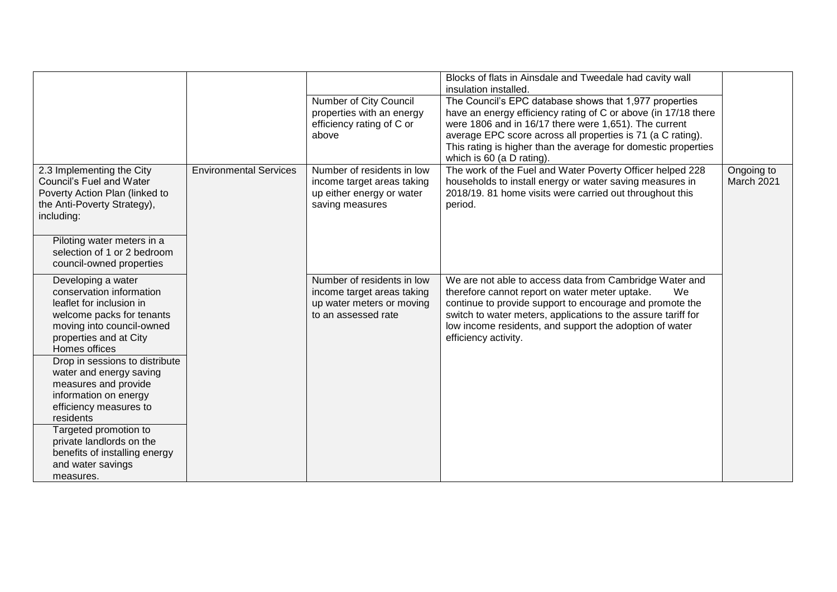|                                                                                                                                                                                                                                                                                                                                                                                                                                                 |                               | Number of City Council<br>properties with an energy<br>efficiency rating of C or<br>above                    | Blocks of flats in Ainsdale and Tweedale had cavity wall<br>insulation installed.<br>The Council's EPC database shows that 1,977 properties<br>have an energy efficiency rating of C or above (in 17/18 there<br>were 1806 and in 16/17 there were 1,651). The current<br>average EPC score across all properties is 71 (a C rating).<br>This rating is higher than the average for domestic properties<br>which is 60 (a D rating). |                          |
|-------------------------------------------------------------------------------------------------------------------------------------------------------------------------------------------------------------------------------------------------------------------------------------------------------------------------------------------------------------------------------------------------------------------------------------------------|-------------------------------|--------------------------------------------------------------------------------------------------------------|--------------------------------------------------------------------------------------------------------------------------------------------------------------------------------------------------------------------------------------------------------------------------------------------------------------------------------------------------------------------------------------------------------------------------------------|--------------------------|
| 2.3 Implementing the City<br>Council's Fuel and Water<br>Poverty Action Plan (linked to<br>the Anti-Poverty Strategy),<br>including:                                                                                                                                                                                                                                                                                                            | <b>Environmental Services</b> | Number of residents in low<br>income target areas taking<br>up either energy or water<br>saving measures     | The work of the Fuel and Water Poverty Officer helped 228<br>households to install energy or water saving measures in<br>2018/19. 81 home visits were carried out throughout this<br>period.                                                                                                                                                                                                                                         | Ongoing to<br>March 2021 |
| Piloting water meters in a<br>selection of 1 or 2 bedroom<br>council-owned properties                                                                                                                                                                                                                                                                                                                                                           |                               |                                                                                                              |                                                                                                                                                                                                                                                                                                                                                                                                                                      |                          |
| Developing a water<br>conservation information<br>leaflet for inclusion in<br>welcome packs for tenants<br>moving into council-owned<br>properties and at City<br>Homes offices<br>Drop in sessions to distribute<br>water and energy saving<br>measures and provide<br>information on energy<br>efficiency measures to<br>residents<br>Targeted promotion to<br>private landlords on the<br>benefits of installing energy<br>and water savings |                               | Number of residents in low<br>income target areas taking<br>up water meters or moving<br>to an assessed rate | We are not able to access data from Cambridge Water and<br>therefore cannot report on water meter uptake.<br>We<br>continue to provide support to encourage and promote the<br>switch to water meters, applications to the assure tariff for<br>low income residents, and support the adoption of water<br>efficiency activity.                                                                                                      |                          |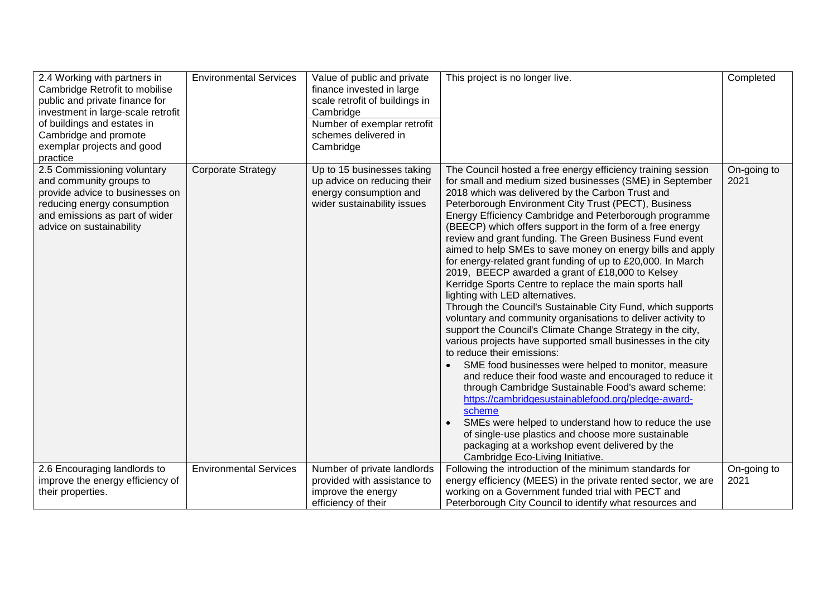| up advice on reducing their<br>for small and medium sized businesses (SME) in September<br>and community groups to<br>2021<br>provide advice to businesses on<br>energy consumption and<br>2018 which was delivered by the Carbon Trust and<br>wider sustainability issues<br>Peterborough Environment City Trust (PECT), Business<br>reducing energy consumption<br>and emissions as part of wider<br>Energy Efficiency Cambridge and Peterborough programme<br>advice on sustainability<br>(BEECP) which offers support in the form of a free energy<br>review and grant funding. The Green Business Fund event<br>aimed to help SMEs to save money on energy bills and apply<br>for energy-related grant funding of up to £20,000. In March<br>2019, BEECP awarded a grant of £18,000 to Kelsey<br>Kerridge Sports Centre to replace the main sports hall<br>lighting with LED alternatives.<br>Through the Council's Sustainable City Fund, which supports<br>voluntary and community organisations to deliver activity to<br>support the Council's Climate Change Strategy in the city,<br>various projects have supported small businesses in the city<br>to reduce their emissions:<br>SME food businesses were helped to monitor, measure<br>and reduce their food waste and encouraged to reduce it<br>through Cambridge Sustainable Food's award scheme:<br>https://cambridgesustainablefood.org/pledge-award-<br>scheme<br>SMEs were helped to understand how to reduce the use<br>of single-use plastics and choose more sustainable<br>packaging at a workshop event delivered by the<br>Cambridge Eco-Living Initiative.<br>2.6 Encouraging landlords to<br>Number of private landlords<br>Following the introduction of the minimum standards for<br>On-going to<br><b>Environmental Services</b><br>improve the energy efficiency of<br>energy efficiency (MEES) in the private rented sector, we are<br>provided with assistance to<br>2021<br>improve the energy<br>working on a Government funded trial with PECT and<br>their properties. | 2.4 Working with partners in<br>Cambridge Retrofit to mobilise<br>public and private finance for<br>investment in large-scale retrofit<br>of buildings and estates in<br>Cambridge and promote<br>exemplar projects and good<br>practice | <b>Environmental Services</b> | Value of public and private<br>finance invested in large<br>scale retrofit of buildings in<br>Cambridge<br>Number of exemplar retrofit<br>schemes delivered in<br>Cambridge | This project is no longer live.                              | Completed   |
|---------------------------------------------------------------------------------------------------------------------------------------------------------------------------------------------------------------------------------------------------------------------------------------------------------------------------------------------------------------------------------------------------------------------------------------------------------------------------------------------------------------------------------------------------------------------------------------------------------------------------------------------------------------------------------------------------------------------------------------------------------------------------------------------------------------------------------------------------------------------------------------------------------------------------------------------------------------------------------------------------------------------------------------------------------------------------------------------------------------------------------------------------------------------------------------------------------------------------------------------------------------------------------------------------------------------------------------------------------------------------------------------------------------------------------------------------------------------------------------------------------------------------------------------------------------------------------------------------------------------------------------------------------------------------------------------------------------------------------------------------------------------------------------------------------------------------------------------------------------------------------------------------------------------------------------------------------------------------------------------------------------------------------------------------------------|------------------------------------------------------------------------------------------------------------------------------------------------------------------------------------------------------------------------------------------|-------------------------------|-----------------------------------------------------------------------------------------------------------------------------------------------------------------------------|--------------------------------------------------------------|-------------|
|                                                                                                                                                                                                                                                                                                                                                                                                                                                                                                                                                                                                                                                                                                                                                                                                                                                                                                                                                                                                                                                                                                                                                                                                                                                                                                                                                                                                                                                                                                                                                                                                                                                                                                                                                                                                                                                                                                                                                                                                                                                               | 2.5 Commissioning voluntary                                                                                                                                                                                                              | <b>Corporate Strategy</b>     | Up to 15 businesses taking                                                                                                                                                  | The Council hosted a free energy efficiency training session | On-going to |
|                                                                                                                                                                                                                                                                                                                                                                                                                                                                                                                                                                                                                                                                                                                                                                                                                                                                                                                                                                                                                                                                                                                                                                                                                                                                                                                                                                                                                                                                                                                                                                                                                                                                                                                                                                                                                                                                                                                                                                                                                                                               |                                                                                                                                                                                                                                          |                               | efficiency of their                                                                                                                                                         | Peterborough City Council to identify what resources and     |             |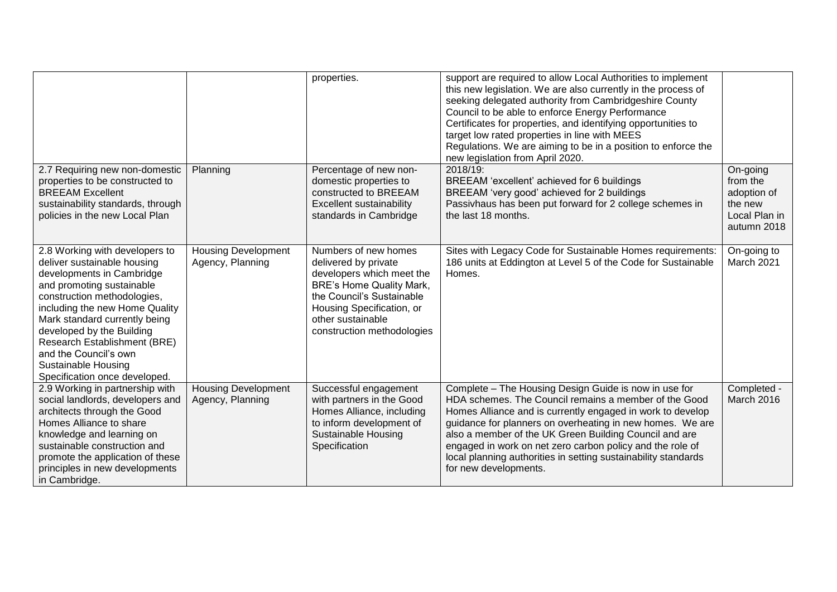|                                                                                                                                                                                                                                                                                                                                                                         |                                                | properties.                                                                                                                                                                                                               | support are required to allow Local Authorities to implement<br>this new legislation. We are also currently in the process of<br>seeking delegated authority from Cambridgeshire County<br>Council to be able to enforce Energy Performance<br>Certificates for properties, and identifying opportunities to<br>target low rated properties in line with MEES<br>Regulations. We are aiming to be in a position to enforce the<br>new legislation from April 2020. |                                                                                |
|-------------------------------------------------------------------------------------------------------------------------------------------------------------------------------------------------------------------------------------------------------------------------------------------------------------------------------------------------------------------------|------------------------------------------------|---------------------------------------------------------------------------------------------------------------------------------------------------------------------------------------------------------------------------|--------------------------------------------------------------------------------------------------------------------------------------------------------------------------------------------------------------------------------------------------------------------------------------------------------------------------------------------------------------------------------------------------------------------------------------------------------------------|--------------------------------------------------------------------------------|
| 2.7 Requiring new non-domestic<br>properties to be constructed to<br><b>BREEAM Excellent</b><br>sustainability standards, through<br>policies in the new Local Plan                                                                                                                                                                                                     | Planning                                       | Percentage of new non-<br>domestic properties to<br>constructed to BREEAM<br>Excellent sustainability<br>standards in Cambridge                                                                                           | 2018/19:<br>BREEAM 'excellent' achieved for 6 buildings<br>BREEAM 'very good' achieved for 2 buildings<br>Passivhaus has been put forward for 2 college schemes in<br>the last 18 months.                                                                                                                                                                                                                                                                          | On-going<br>from the<br>adoption of<br>the new<br>Local Plan in<br>autumn 2018 |
| 2.8 Working with developers to<br>deliver sustainable housing<br>developments in Cambridge<br>and promoting sustainable<br>construction methodologies,<br>including the new Home Quality<br>Mark standard currently being<br>developed by the Building<br>Research Establishment (BRE)<br>and the Council's own<br>Sustainable Housing<br>Specification once developed. | <b>Housing Development</b><br>Agency, Planning | Numbers of new homes<br>delivered by private<br>developers which meet the<br><b>BRE's Home Quality Mark,</b><br>the Council's Sustainable<br>Housing Specification, or<br>other sustainable<br>construction methodologies | Sites with Legacy Code for Sustainable Homes requirements:<br>186 units at Eddington at Level 5 of the Code for Sustainable<br>Homes.                                                                                                                                                                                                                                                                                                                              | On-going to<br>March 2021                                                      |
| 2.9 Working in partnership with<br>social landlords, developers and<br>architects through the Good<br>Homes Alliance to share<br>knowledge and learning on<br>sustainable construction and<br>promote the application of these<br>principles in new developments<br>in Cambridge.                                                                                       | <b>Housing Development</b><br>Agency, Planning | Successful engagement<br>with partners in the Good<br>Homes Alliance, including<br>to inform development of<br>Sustainable Housing<br>Specification                                                                       | Complete - The Housing Design Guide is now in use for<br>HDA schemes. The Council remains a member of the Good<br>Homes Alliance and is currently engaged in work to develop<br>guidance for planners on overheating in new homes. We are<br>also a member of the UK Green Building Council and are<br>engaged in work on net zero carbon policy and the role of<br>local planning authorities in setting sustainability standards<br>for new developments.        | Completed -<br>March 2016                                                      |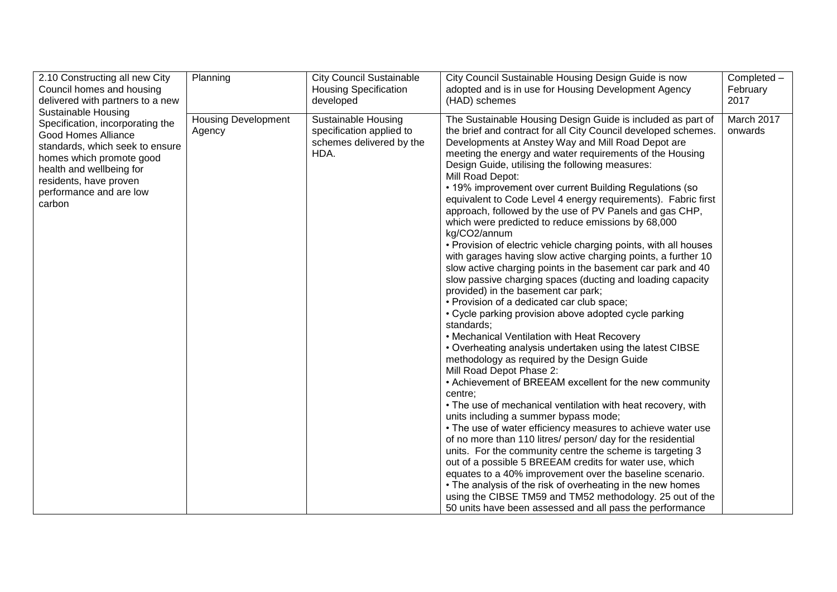| 2.10 Constructing all new City                                                                                                                                                                                                                         | Planning                             | <b>City Council Sustainable</b>                                                     | City Council Sustainable Housing Design Guide is now                                                                                                                                                                                                                                                                                                                                                                                                                                                                                                                                                                                                                                                                                                                                                                                                                                                                                                                                                                                                                                                                                                                                                                                                                                                                                                                                                                                                                                                                                                                                                                                                                                                                                                                                                                                                                                           | Completed -           |
|--------------------------------------------------------------------------------------------------------------------------------------------------------------------------------------------------------------------------------------------------------|--------------------------------------|-------------------------------------------------------------------------------------|------------------------------------------------------------------------------------------------------------------------------------------------------------------------------------------------------------------------------------------------------------------------------------------------------------------------------------------------------------------------------------------------------------------------------------------------------------------------------------------------------------------------------------------------------------------------------------------------------------------------------------------------------------------------------------------------------------------------------------------------------------------------------------------------------------------------------------------------------------------------------------------------------------------------------------------------------------------------------------------------------------------------------------------------------------------------------------------------------------------------------------------------------------------------------------------------------------------------------------------------------------------------------------------------------------------------------------------------------------------------------------------------------------------------------------------------------------------------------------------------------------------------------------------------------------------------------------------------------------------------------------------------------------------------------------------------------------------------------------------------------------------------------------------------------------------------------------------------------------------------------------------------|-----------------------|
| Council homes and housing                                                                                                                                                                                                                              |                                      | <b>Housing Specification</b>                                                        | adopted and is in use for Housing Development Agency                                                                                                                                                                                                                                                                                                                                                                                                                                                                                                                                                                                                                                                                                                                                                                                                                                                                                                                                                                                                                                                                                                                                                                                                                                                                                                                                                                                                                                                                                                                                                                                                                                                                                                                                                                                                                                           | February              |
| delivered with partners to a new                                                                                                                                                                                                                       |                                      | developed                                                                           | (HAD) schemes                                                                                                                                                                                                                                                                                                                                                                                                                                                                                                                                                                                                                                                                                                                                                                                                                                                                                                                                                                                                                                                                                                                                                                                                                                                                                                                                                                                                                                                                                                                                                                                                                                                                                                                                                                                                                                                                                  | 2017                  |
| <b>Sustainable Housing</b><br>Specification, incorporating the<br><b>Good Homes Alliance</b><br>standards, which seek to ensure<br>homes which promote good<br>health and wellbeing for<br>residents, have proven<br>performance and are low<br>carbon | <b>Housing Development</b><br>Agency | Sustainable Housing<br>specification applied to<br>schemes delivered by the<br>HDA. | The Sustainable Housing Design Guide is included as part of<br>the brief and contract for all City Council developed schemes.<br>Developments at Anstey Way and Mill Road Depot are<br>meeting the energy and water requirements of the Housing<br>Design Guide, utilising the following measures:<br>Mill Road Depot:<br>• 19% improvement over current Building Regulations (so<br>equivalent to Code Level 4 energy requirements). Fabric first<br>approach, followed by the use of PV Panels and gas CHP,<br>which were predicted to reduce emissions by 68,000<br>kg/CO2/annum<br>• Provision of electric vehicle charging points, with all houses<br>with garages having slow active charging points, a further 10<br>slow active charging points in the basement car park and 40<br>slow passive charging spaces (ducting and loading capacity<br>provided) in the basement car park;<br>• Provision of a dedicated car club space;<br>• Cycle parking provision above adopted cycle parking<br>standards;<br>• Mechanical Ventilation with Heat Recovery<br>• Overheating analysis undertaken using the latest CIBSE<br>methodology as required by the Design Guide<br>Mill Road Depot Phase 2:<br>• Achievement of BREEAM excellent for the new community<br>centre:<br>• The use of mechanical ventilation with heat recovery, with<br>units including a summer bypass mode;<br>• The use of water efficiency measures to achieve water use<br>of no more than 110 litres/ person/ day for the residential<br>units. For the community centre the scheme is targeting 3<br>out of a possible 5 BREEAM credits for water use, which<br>equates to a 40% improvement over the baseline scenario.<br>• The analysis of the risk of overheating in the new homes<br>using the CIBSE TM59 and TM52 methodology. 25 out of the<br>50 units have been assessed and all pass the performance | March 2017<br>onwards |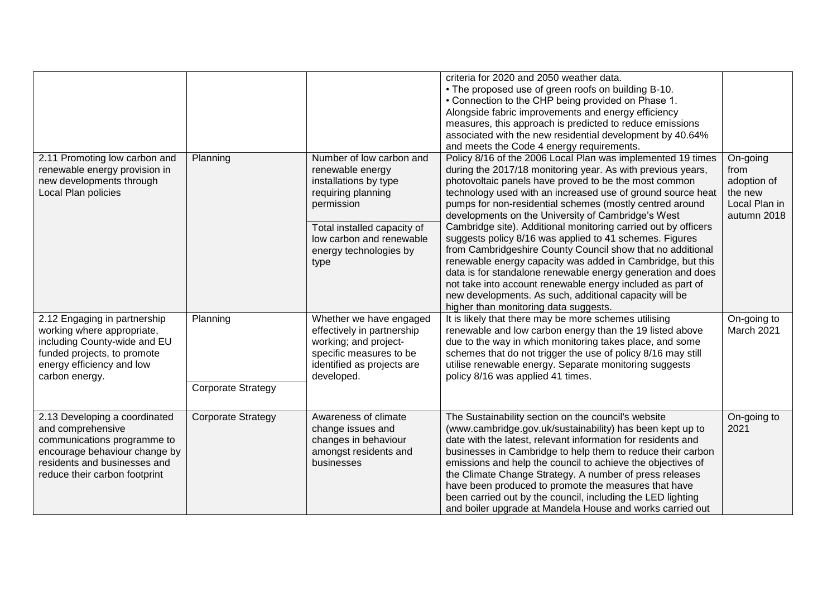|                                                                                                                                                                                     |                                       |                                                                                                                                                                                                        | criteria for 2020 and 2050 weather data.<br>• The proposed use of green roofs on building B-10.<br>• Connection to the CHP being provided on Phase 1.<br>Alongside fabric improvements and energy efficiency<br>measures, this approach is predicted to reduce emissions<br>associated with the new residential development by 40.64%<br>and meets the Code 4 energy requirements.                                                                                                                                                                                                                                                                                                                                                                                                                                                                            |                                                                            |
|-------------------------------------------------------------------------------------------------------------------------------------------------------------------------------------|---------------------------------------|--------------------------------------------------------------------------------------------------------------------------------------------------------------------------------------------------------|---------------------------------------------------------------------------------------------------------------------------------------------------------------------------------------------------------------------------------------------------------------------------------------------------------------------------------------------------------------------------------------------------------------------------------------------------------------------------------------------------------------------------------------------------------------------------------------------------------------------------------------------------------------------------------------------------------------------------------------------------------------------------------------------------------------------------------------------------------------|----------------------------------------------------------------------------|
| 2.11 Promoting low carbon and<br>renewable energy provision in<br>new developments through<br>Local Plan policies                                                                   | Planning                              | Number of low carbon and<br>renewable energy<br>installations by type<br>requiring planning<br>permission<br>Total installed capacity of<br>low carbon and renewable<br>energy technologies by<br>type | Policy 8/16 of the 2006 Local Plan was implemented 19 times<br>during the 2017/18 monitoring year. As with previous years,<br>photovoltaic panels have proved to be the most common<br>technology used with an increased use of ground source heat<br>pumps for non-residential schemes (mostly centred around<br>developments on the University of Cambridge's West<br>Cambridge site). Additional monitoring carried out by officers<br>suggests policy 8/16 was applied to 41 schemes. Figures<br>from Cambridgeshire County Council show that no additional<br>renewable energy capacity was added in Cambridge, but this<br>data is for standalone renewable energy generation and does<br>not take into account renewable energy included as part of<br>new developments. As such, additional capacity will be<br>higher than monitoring data suggests. | On-going<br>from<br>adoption of<br>the new<br>Local Plan in<br>autumn 2018 |
| 2.12 Engaging in partnership<br>working where appropriate,<br>including County-wide and EU<br>funded projects, to promote<br>energy efficiency and low<br>carbon energy.            | Planning<br><b>Corporate Strategy</b> | Whether we have engaged<br>effectively in partnership<br>working; and project-<br>specific measures to be<br>identified as projects are<br>developed.                                                  | It is likely that there may be more schemes utilising<br>renewable and low carbon energy than the 19 listed above<br>due to the way in which monitoring takes place, and some<br>schemes that do not trigger the use of policy 8/16 may still<br>utilise renewable energy. Separate monitoring suggests<br>policy 8/16 was applied 41 times.                                                                                                                                                                                                                                                                                                                                                                                                                                                                                                                  | On-going to<br>March 2021                                                  |
| 2.13 Developing a coordinated<br>and comprehensive<br>communications programme to<br>encourage behaviour change by<br>residents and businesses and<br>reduce their carbon footprint | <b>Corporate Strategy</b>             | Awareness of climate<br>change issues and<br>changes in behaviour<br>amongst residents and<br>businesses                                                                                               | The Sustainability section on the council's website<br>(www.cambridge.gov.uk/sustainability) has been kept up to<br>date with the latest, relevant information for residents and<br>businesses in Cambridge to help them to reduce their carbon<br>emissions and help the council to achieve the objectives of<br>the Climate Change Strategy. A number of press releases<br>have been produced to promote the measures that have<br>been carried out by the council, including the LED lighting<br>and boiler upgrade at Mandela House and works carried out                                                                                                                                                                                                                                                                                                 | On-going to<br>2021                                                        |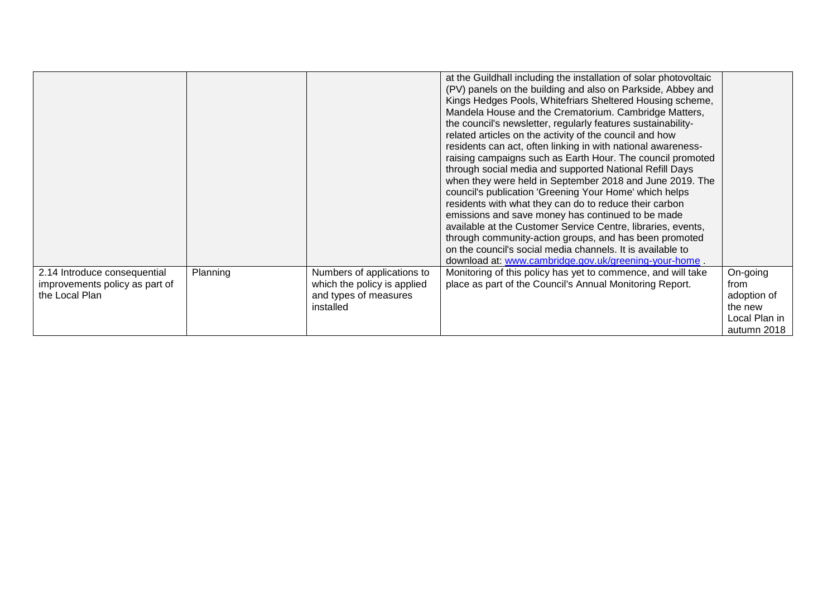|                                                                                  |          |                                                                                                 | at the Guildhall including the installation of solar photovoltaic<br>(PV) panels on the building and also on Parkside, Abbey and<br>Kings Hedges Pools, Whitefriars Sheltered Housing scheme,<br>Mandela House and the Crematorium. Cambridge Matters,<br>the council's newsletter, regularly features sustainability-<br>related articles on the activity of the council and how<br>residents can act, often linking in with national awareness-<br>raising campaigns such as Earth Hour. The council promoted<br>through social media and supported National Refill Days<br>when they were held in September 2018 and June 2019. The<br>council's publication 'Greening Your Home' which helps<br>residents with what they can do to reduce their carbon<br>emissions and save money has continued to be made<br>available at the Customer Service Centre, libraries, events,<br>through community-action groups, and has been promoted<br>on the council's social media channels. It is available to<br>download at: www.cambridge.gov.uk/greening-your-home. |                                                                            |
|----------------------------------------------------------------------------------|----------|-------------------------------------------------------------------------------------------------|------------------------------------------------------------------------------------------------------------------------------------------------------------------------------------------------------------------------------------------------------------------------------------------------------------------------------------------------------------------------------------------------------------------------------------------------------------------------------------------------------------------------------------------------------------------------------------------------------------------------------------------------------------------------------------------------------------------------------------------------------------------------------------------------------------------------------------------------------------------------------------------------------------------------------------------------------------------------------------------------------------------------------------------------------------------|----------------------------------------------------------------------------|
| 2.14 Introduce consequential<br>improvements policy as part of<br>the Local Plan | Planning | Numbers of applications to<br>which the policy is applied<br>and types of measures<br>installed | Monitoring of this policy has yet to commence, and will take<br>place as part of the Council's Annual Monitoring Report.                                                                                                                                                                                                                                                                                                                                                                                                                                                                                                                                                                                                                                                                                                                                                                                                                                                                                                                                         | On-going<br>from<br>adoption of<br>the new<br>Local Plan in<br>autumn 2018 |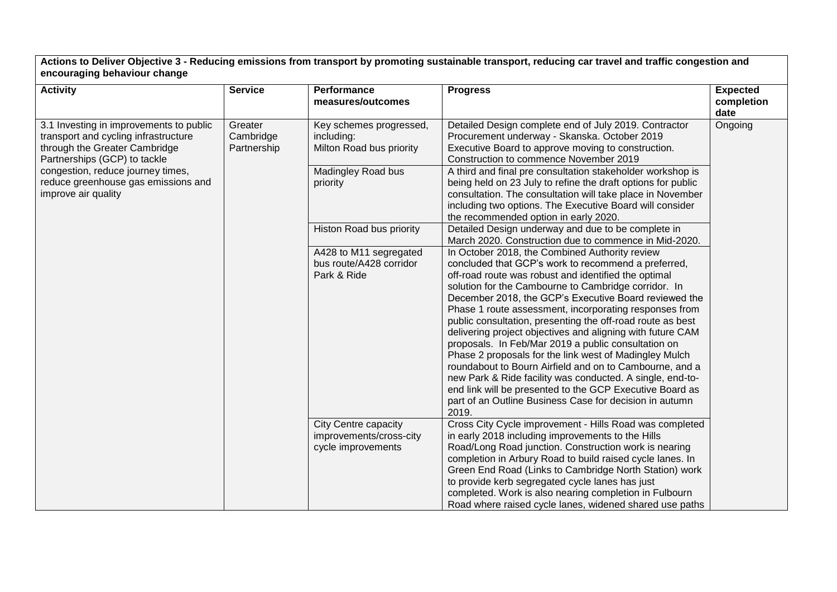**Actions to Deliver Objective 3 - Reducing emissions from transport by promoting sustainable transport, reducing car travel and traffic congestion and encouraging behaviour change**

| <b>Activity</b>                                                                                                                                  | <b>Service</b>                      | <b>Performance</b><br>measures/outcomes                               | <b>Progress</b>                                                                                                                                                                                                                                                                                                                                                                                                                                                                                                                                                                                                                                                                                                                                                                                                                               | Expected<br>completion<br>date |
|--------------------------------------------------------------------------------------------------------------------------------------------------|-------------------------------------|-----------------------------------------------------------------------|-----------------------------------------------------------------------------------------------------------------------------------------------------------------------------------------------------------------------------------------------------------------------------------------------------------------------------------------------------------------------------------------------------------------------------------------------------------------------------------------------------------------------------------------------------------------------------------------------------------------------------------------------------------------------------------------------------------------------------------------------------------------------------------------------------------------------------------------------|--------------------------------|
| 3.1 Investing in improvements to public<br>transport and cycling infrastructure<br>through the Greater Cambridge<br>Partnerships (GCP) to tackle | Greater<br>Cambridge<br>Partnership | Key schemes progressed,<br>including:<br>Milton Road bus priority     | Detailed Design complete end of July 2019. Contractor<br>Procurement underway - Skanska. October 2019<br>Executive Board to approve moving to construction.<br>Construction to commence November 2019                                                                                                                                                                                                                                                                                                                                                                                                                                                                                                                                                                                                                                         | Ongoing                        |
| congestion, reduce journey times,<br>reduce greenhouse gas emissions and<br>improve air quality                                                  |                                     | Madingley Road bus<br>priority                                        | A third and final pre consultation stakeholder workshop is<br>being held on 23 July to refine the draft options for public<br>consultation. The consultation will take place in November<br>including two options. The Executive Board will consider<br>the recommended option in early 2020.                                                                                                                                                                                                                                                                                                                                                                                                                                                                                                                                                 |                                |
|                                                                                                                                                  |                                     | Histon Road bus priority                                              | Detailed Design underway and due to be complete in<br>March 2020. Construction due to commence in Mid-2020.                                                                                                                                                                                                                                                                                                                                                                                                                                                                                                                                                                                                                                                                                                                                   |                                |
|                                                                                                                                                  |                                     | A428 to M11 segregated<br>bus route/A428 corridor<br>Park & Ride      | In October 2018, the Combined Authority review<br>concluded that GCP's work to recommend a preferred,<br>off-road route was robust and identified the optimal<br>solution for the Cambourne to Cambridge corridor. In<br>December 2018, the GCP's Executive Board reviewed the<br>Phase 1 route assessment, incorporating responses from<br>public consultation, presenting the off-road route as best<br>delivering project objectives and aligning with future CAM<br>proposals. In Feb/Mar 2019 a public consultation on<br>Phase 2 proposals for the link west of Madingley Mulch<br>roundabout to Bourn Airfield and on to Cambourne, and a<br>new Park & Ride facility was conducted. A single, end-to-<br>end link will be presented to the GCP Executive Board as<br>part of an Outline Business Case for decision in autumn<br>2019. |                                |
|                                                                                                                                                  |                                     | City Centre capacity<br>improvements/cross-city<br>cycle improvements | Cross City Cycle improvement - Hills Road was completed<br>in early 2018 including improvements to the Hills<br>Road/Long Road junction. Construction work is nearing<br>completion in Arbury Road to build raised cycle lanes. In<br>Green End Road (Links to Cambridge North Station) work<br>to provide kerb segregated cycle lanes has just<br>completed. Work is also nearing completion in Fulbourn<br>Road where raised cycle lanes, widened shared use paths                                                                                                                                                                                                                                                                                                                                                                          |                                |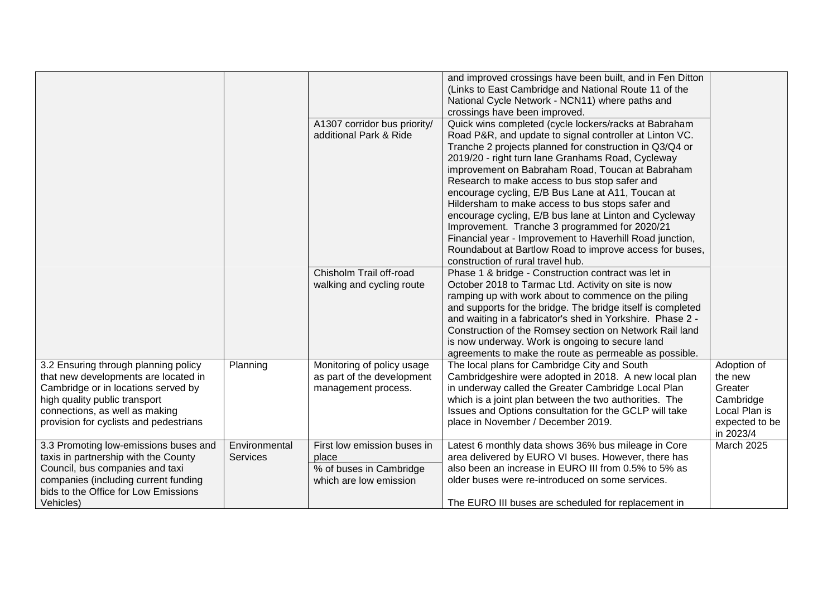|                                                                                                                                                                                                                                  |                                  | A1307 corridor bus priority/<br>additional Park & Ride                                    | and improved crossings have been built, and in Fen Ditton<br>(Links to East Cambridge and National Route 11 of the<br>National Cycle Network - NCN11) where paths and<br>crossings have been improved.<br>Quick wins completed (cycle lockers/racks at Babraham<br>Road P&R, and update to signal controller at Linton VC.<br>Tranche 2 projects planned for construction in Q3/Q4 or<br>2019/20 - right turn lane Granhams Road, Cycleway<br>improvement on Babraham Road, Toucan at Babraham<br>Research to make access to bus stop safer and<br>encourage cycling, E/B Bus Lane at A11, Toucan at<br>Hildersham to make access to bus stops safer and<br>encourage cycling, E/B bus lane at Linton and Cycleway<br>Improvement. Tranche 3 programmed for 2020/21<br>Financial year - Improvement to Haverhill Road junction,<br>Roundabout at Bartlow Road to improve access for buses, |                                                                                                |
|----------------------------------------------------------------------------------------------------------------------------------------------------------------------------------------------------------------------------------|----------------------------------|-------------------------------------------------------------------------------------------|--------------------------------------------------------------------------------------------------------------------------------------------------------------------------------------------------------------------------------------------------------------------------------------------------------------------------------------------------------------------------------------------------------------------------------------------------------------------------------------------------------------------------------------------------------------------------------------------------------------------------------------------------------------------------------------------------------------------------------------------------------------------------------------------------------------------------------------------------------------------------------------------|------------------------------------------------------------------------------------------------|
|                                                                                                                                                                                                                                  |                                  | Chisholm Trail off-road<br>walking and cycling route                                      | construction of rural travel hub.<br>Phase 1 & bridge - Construction contract was let in<br>October 2018 to Tarmac Ltd. Activity on site is now<br>ramping up with work about to commence on the piling<br>and supports for the bridge. The bridge itself is completed<br>and waiting in a fabricator's shed in Yorkshire. Phase 2 -<br>Construction of the Romsey section on Network Rail land<br>is now underway. Work is ongoing to secure land<br>agreements to make the route as permeable as possible.                                                                                                                                                                                                                                                                                                                                                                               |                                                                                                |
| 3.2 Ensuring through planning policy<br>that new developments are located in<br>Cambridge or in locations served by<br>high quality public transport<br>connections, as well as making<br>provision for cyclists and pedestrians | Planning                         | Monitoring of policy usage<br>as part of the development<br>management process.           | The local plans for Cambridge City and South<br>Cambridgeshire were adopted in 2018. A new local plan<br>in underway called the Greater Cambridge Local Plan<br>which is a joint plan between the two authorities. The<br>Issues and Options consultation for the GCLP will take<br>place in November / December 2019.                                                                                                                                                                                                                                                                                                                                                                                                                                                                                                                                                                     | Adoption of<br>the new<br>Greater<br>Cambridge<br>Local Plan is<br>expected to be<br>in 2023/4 |
| 3.3 Promoting low-emissions buses and<br>taxis in partnership with the County<br>Council, bus companies and taxi<br>companies (including current funding<br>bids to the Office for Low Emissions<br>Vehicles)                    | Environmental<br><b>Services</b> | First low emission buses in<br>place<br>% of buses in Cambridge<br>which are low emission | Latest 6 monthly data shows 36% bus mileage in Core<br>area delivered by EURO VI buses. However, there has<br>also been an increase in EURO III from 0.5% to 5% as<br>older buses were re-introduced on some services.<br>The EURO III buses are scheduled for replacement in                                                                                                                                                                                                                                                                                                                                                                                                                                                                                                                                                                                                              | March 2025                                                                                     |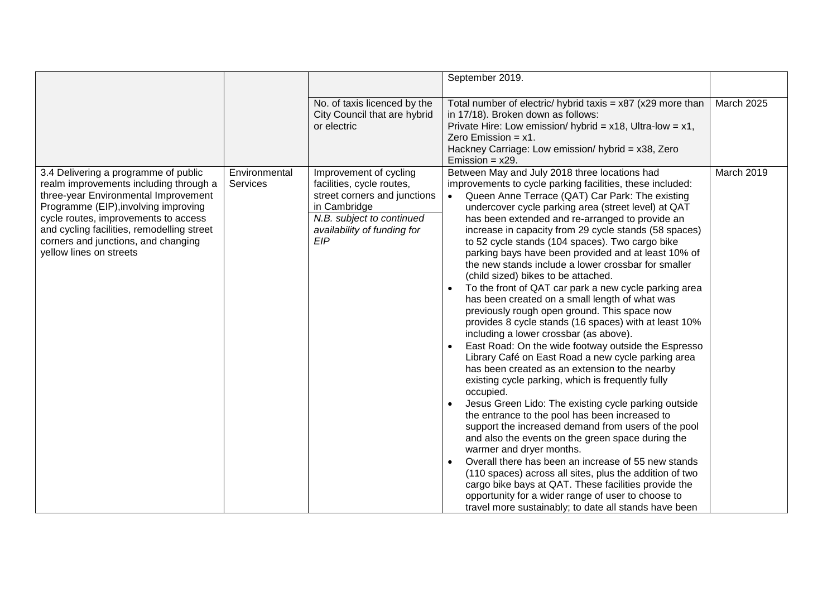|                                                                                                                                                                                                                                                                                                                        |                                  |                                                                                                                                                                               | September 2019.                                                                                                                                                                                                                                                                                                                                                                                                                                                                                                                                                                                                                                                                                                                                                                                                                                                                                                                                                                                                                                                                                                                                                                                                                                                                                                                                                                                                                                                                                                                                                                    |            |
|------------------------------------------------------------------------------------------------------------------------------------------------------------------------------------------------------------------------------------------------------------------------------------------------------------------------|----------------------------------|-------------------------------------------------------------------------------------------------------------------------------------------------------------------------------|------------------------------------------------------------------------------------------------------------------------------------------------------------------------------------------------------------------------------------------------------------------------------------------------------------------------------------------------------------------------------------------------------------------------------------------------------------------------------------------------------------------------------------------------------------------------------------------------------------------------------------------------------------------------------------------------------------------------------------------------------------------------------------------------------------------------------------------------------------------------------------------------------------------------------------------------------------------------------------------------------------------------------------------------------------------------------------------------------------------------------------------------------------------------------------------------------------------------------------------------------------------------------------------------------------------------------------------------------------------------------------------------------------------------------------------------------------------------------------------------------------------------------------------------------------------------------------|------------|
|                                                                                                                                                                                                                                                                                                                        |                                  |                                                                                                                                                                               |                                                                                                                                                                                                                                                                                                                                                                                                                                                                                                                                                                                                                                                                                                                                                                                                                                                                                                                                                                                                                                                                                                                                                                                                                                                                                                                                                                                                                                                                                                                                                                                    |            |
|                                                                                                                                                                                                                                                                                                                        |                                  | No. of taxis licenced by the<br>City Council that are hybrid<br>or electric                                                                                                   | Total number of electric/ hybrid taxis = $x87$ ( $x29$ more than<br>in 17/18). Broken down as follows:<br>Private Hire: Low emission/ hybrid = $x18$ , Ultra-low = $x1$ ,<br>Zero Emission = $x1$ .<br>Hackney Carriage: Low emission/ hybrid = x38, Zero<br>Emission = $x29$ .                                                                                                                                                                                                                                                                                                                                                                                                                                                                                                                                                                                                                                                                                                                                                                                                                                                                                                                                                                                                                                                                                                                                                                                                                                                                                                    | March 2025 |
| 3.4 Delivering a programme of public<br>realm improvements including through a<br>three-year Environmental Improvement<br>Programme (EIP), involving improving<br>cycle routes, improvements to access<br>and cycling facilities, remodelling street<br>corners and junctions, and changing<br>yellow lines on streets | Environmental<br><b>Services</b> | Improvement of cycling<br>facilities, cycle routes,<br>street corners and junctions<br>in Cambridge<br>N.B. subject to continued<br>availability of funding for<br><b>EIP</b> | Between May and July 2018 three locations had<br>improvements to cycle parking facilities, these included:<br>Queen Anne Terrace (QAT) Car Park: The existing<br>undercover cycle parking area (street level) at QAT<br>has been extended and re-arranged to provide an<br>increase in capacity from 29 cycle stands (58 spaces)<br>to 52 cycle stands (104 spaces). Two cargo bike<br>parking bays have been provided and at least 10% of<br>the new stands include a lower crossbar for smaller<br>(child sized) bikes to be attached.<br>To the front of QAT car park a new cycle parking area<br>has been created on a small length of what was<br>previously rough open ground. This space now<br>provides 8 cycle stands (16 spaces) with at least 10%<br>including a lower crossbar (as above).<br>East Road: On the wide footway outside the Espresso<br>Library Café on East Road a new cycle parking area<br>has been created as an extension to the nearby<br>existing cycle parking, which is frequently fully<br>occupied.<br>Jesus Green Lido: The existing cycle parking outside<br>the entrance to the pool has been increased to<br>support the increased demand from users of the pool<br>and also the events on the green space during the<br>warmer and dryer months.<br>Overall there has been an increase of 55 new stands<br>(110 spaces) across all sites, plus the addition of two<br>cargo bike bays at QAT. These facilities provide the<br>opportunity for a wider range of user to choose to<br>travel more sustainably; to date all stands have been | March 2019 |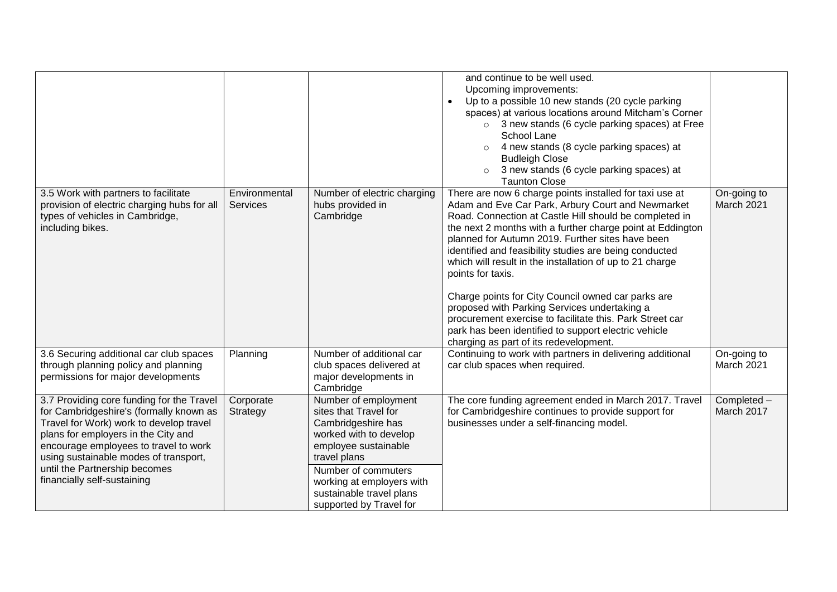|                                                                                                                                                                                                                                                                                                                          |                           |                                                                                                                                                                                                                                                  | and continue to be well used.<br>Upcoming improvements:<br>Up to a possible 10 new stands (20 cycle parking<br>$\bullet$<br>spaces) at various locations around Mitcham's Corner<br>$\circ$ 3 new stands (6 cycle parking spaces) at Free<br>School Lane<br>4 new stands (8 cycle parking spaces) at<br>$\circ$<br><b>Budleigh Close</b><br>3 new stands (6 cycle parking spaces) at<br>$\circ$<br><b>Taunton Close</b>                                                                                                                                                                                                                                                                                 |                           |
|--------------------------------------------------------------------------------------------------------------------------------------------------------------------------------------------------------------------------------------------------------------------------------------------------------------------------|---------------------------|--------------------------------------------------------------------------------------------------------------------------------------------------------------------------------------------------------------------------------------------------|---------------------------------------------------------------------------------------------------------------------------------------------------------------------------------------------------------------------------------------------------------------------------------------------------------------------------------------------------------------------------------------------------------------------------------------------------------------------------------------------------------------------------------------------------------------------------------------------------------------------------------------------------------------------------------------------------------|---------------------------|
| 3.5 Work with partners to facilitate<br>provision of electric charging hubs for all<br>types of vehicles in Cambridge,<br>including bikes.                                                                                                                                                                               | Environmental<br>Services | Number of electric charging<br>hubs provided in<br>Cambridge                                                                                                                                                                                     | There are now 6 charge points installed for taxi use at<br>Adam and Eve Car Park, Arbury Court and Newmarket<br>Road. Connection at Castle Hill should be completed in<br>the next 2 months with a further charge point at Eddington<br>planned for Autumn 2019. Further sites have been<br>identified and feasibility studies are being conducted<br>which will result in the installation of up to 21 charge<br>points for taxis.<br>Charge points for City Council owned car parks are<br>proposed with Parking Services undertaking a<br>procurement exercise to facilitate this. Park Street car<br>park has been identified to support electric vehicle<br>charging as part of its redevelopment. | On-going to<br>March 2021 |
| 3.6 Securing additional car club spaces<br>through planning policy and planning<br>permissions for major developments                                                                                                                                                                                                    | Planning                  | Number of additional car<br>club spaces delivered at<br>major developments in<br>Cambridge                                                                                                                                                       | Continuing to work with partners in delivering additional<br>car club spaces when required.                                                                                                                                                                                                                                                                                                                                                                                                                                                                                                                                                                                                             | On-going to<br>March 2021 |
| 3.7 Providing core funding for the Travel<br>for Cambridgeshire's (formally known as<br>Travel for Work) work to develop travel<br>plans for employers in the City and<br>encourage employees to travel to work<br>using sustainable modes of transport,<br>until the Partnership becomes<br>financially self-sustaining | Corporate<br>Strategy     | Number of employment<br>sites that Travel for<br>Cambridgeshire has<br>worked with to develop<br>employee sustainable<br>travel plans<br>Number of commuters<br>working at employers with<br>sustainable travel plans<br>supported by Travel for | The core funding agreement ended in March 2017. Travel<br>for Cambridgeshire continues to provide support for<br>businesses under a self-financing model.                                                                                                                                                                                                                                                                                                                                                                                                                                                                                                                                               | Completed -<br>March 2017 |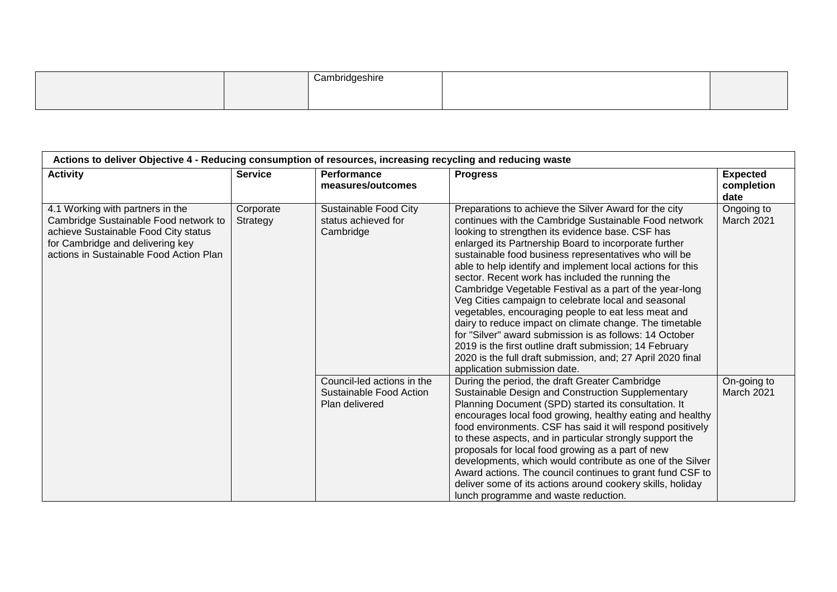|  | $\sim$<br>ำeshir⊾ |  |
|--|-------------------|--|
|  |                   |  |

| <b>Activity</b>                                                                                                                                                                                  | <b>Service</b>        | Performance<br>measures/outcomes                                        | <b>Progress</b>                                                                                                                                                                                                                                                                                                                                                                                                                                                                                                                                                                                                                                                                                                                                                                                                                                                 | <b>Expected</b><br>completion<br>date |
|--------------------------------------------------------------------------------------------------------------------------------------------------------------------------------------------------|-----------------------|-------------------------------------------------------------------------|-----------------------------------------------------------------------------------------------------------------------------------------------------------------------------------------------------------------------------------------------------------------------------------------------------------------------------------------------------------------------------------------------------------------------------------------------------------------------------------------------------------------------------------------------------------------------------------------------------------------------------------------------------------------------------------------------------------------------------------------------------------------------------------------------------------------------------------------------------------------|---------------------------------------|
| 4.1 Working with partners in the<br>Cambridge Sustainable Food network to<br>achieve Sustainable Food City status<br>for Cambridge and delivering key<br>actions in Sustainable Food Action Plan | Corporate<br>Strategy | Sustainable Food City<br>status achieved for<br>Cambridge               | Preparations to achieve the Silver Award for the city<br>continues with the Cambridge Sustainable Food network<br>looking to strengthen its evidence base. CSF has<br>enlarged its Partnership Board to incorporate further<br>sustainable food business representatives who will be<br>able to help identify and implement local actions for this<br>sector. Recent work has included the running the<br>Cambridge Vegetable Festival as a part of the year-long<br>Veg Cities campaign to celebrate local and seasonal<br>vegetables, encouraging people to eat less meat and<br>dairy to reduce impact on climate change. The timetable<br>for "Silver" award submission is as follows: 14 October<br>2019 is the first outline draft submission; 14 February<br>2020 is the full draft submission, and; 27 April 2020 final<br>application submission date. | Ongoing to<br>March 2021              |
|                                                                                                                                                                                                  |                       | Council-led actions in the<br>Sustainable Food Action<br>Plan delivered | During the period, the draft Greater Cambridge<br>Sustainable Design and Construction Supplementary<br>Planning Document (SPD) started its consultation. It<br>encourages local food growing, healthy eating and healthy<br>food environments. CSF has said it will respond positively<br>to these aspects, and in particular strongly support the<br>proposals for local food growing as a part of new<br>developments, which would contribute as one of the Silver<br>Award actions. The council continues to grant fund CSF to<br>deliver some of its actions around cookery skills, holiday<br>lunch programme and waste reduction.                                                                                                                                                                                                                         | On-going to<br>March 2021             |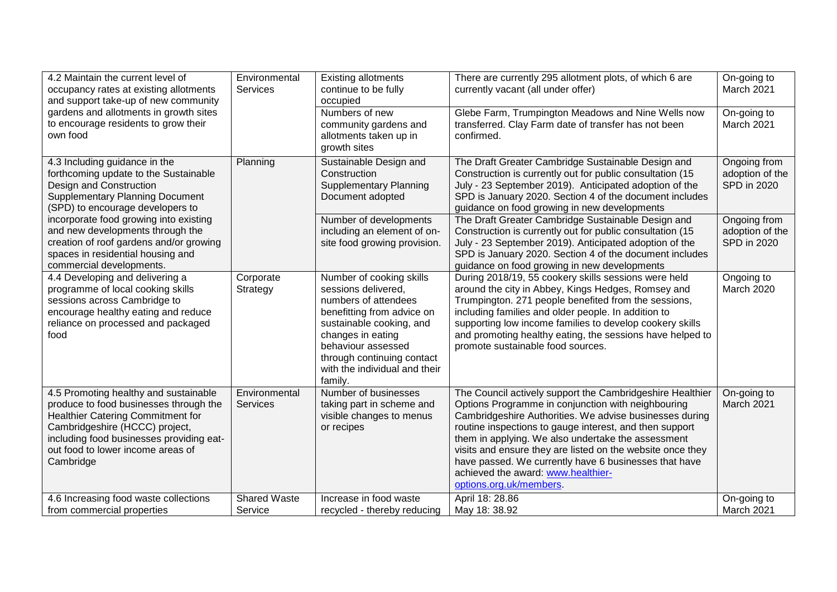| 4.2 Maintain the current level of<br>occupancy rates at existing allotments<br>and support take-up of new community                                                                                                                                         | Environmental<br>Services        | <b>Existing allotments</b><br>continue to be fully<br>occupied                                                                                                                                                                                         | There are currently 295 allotment plots, of which 6 are<br>currently vacant (all under offer)                                                                                                                                                                                                                                                                                                                                                                                       | On-going to<br>March 2021                      |
|-------------------------------------------------------------------------------------------------------------------------------------------------------------------------------------------------------------------------------------------------------------|----------------------------------|--------------------------------------------------------------------------------------------------------------------------------------------------------------------------------------------------------------------------------------------------------|-------------------------------------------------------------------------------------------------------------------------------------------------------------------------------------------------------------------------------------------------------------------------------------------------------------------------------------------------------------------------------------------------------------------------------------------------------------------------------------|------------------------------------------------|
| gardens and allotments in growth sites<br>to encourage residents to grow their<br>own food                                                                                                                                                                  |                                  | Numbers of new<br>community gardens and<br>allotments taken up in<br>growth sites                                                                                                                                                                      | Glebe Farm, Trumpington Meadows and Nine Wells now<br>transferred. Clay Farm date of transfer has not been<br>confirmed.                                                                                                                                                                                                                                                                                                                                                            | On-going to<br>March 2021                      |
| 4.3 Including guidance in the<br>forthcoming update to the Sustainable<br>Design and Construction<br><b>Supplementary Planning Document</b><br>(SPD) to encourage developers to                                                                             | Planning                         | Sustainable Design and<br>Construction<br><b>Supplementary Planning</b><br>Document adopted                                                                                                                                                            | The Draft Greater Cambridge Sustainable Design and<br>Construction is currently out for public consultation (15<br>July - 23 September 2019). Anticipated adoption of the<br>SPD is January 2020. Section 4 of the document includes<br>guidance on food growing in new developments                                                                                                                                                                                                | Ongoing from<br>adoption of the<br>SPD in 2020 |
| incorporate food growing into existing<br>and new developments through the<br>creation of roof gardens and/or growing<br>spaces in residential housing and<br>commercial developments.                                                                      |                                  | Number of developments<br>including an element of on-<br>site food growing provision.                                                                                                                                                                  | The Draft Greater Cambridge Sustainable Design and<br>Construction is currently out for public consultation (15<br>July - 23 September 2019). Anticipated adoption of the<br>SPD is January 2020. Section 4 of the document includes<br>guidance on food growing in new developments                                                                                                                                                                                                | Ongoing from<br>adoption of the<br>SPD in 2020 |
| 4.4 Developing and delivering a<br>programme of local cooking skills<br>sessions across Cambridge to<br>encourage healthy eating and reduce<br>reliance on processed and packaged<br>food                                                                   | Corporate<br>Strategy            | Number of cooking skills<br>sessions delivered.<br>numbers of attendees<br>benefitting from advice on<br>sustainable cooking, and<br>changes in eating<br>behaviour assessed<br>through continuing contact<br>with the individual and their<br>family. | During 2018/19, 55 cookery skills sessions were held<br>around the city in Abbey, Kings Hedges, Romsey and<br>Trumpington. 271 people benefited from the sessions,<br>including families and older people. In addition to<br>supporting low income families to develop cookery skills<br>and promoting healthy eating, the sessions have helped to<br>promote sustainable food sources.                                                                                             | Ongoing to<br><b>March 2020</b>                |
| 4.5 Promoting healthy and sustainable<br>produce to food businesses through the<br><b>Healthier Catering Commitment for</b><br>Cambridgeshire (HCCC) project,<br>including food businesses providing eat-<br>out food to lower income areas of<br>Cambridge | Environmental<br><b>Services</b> | Number of businesses<br>taking part in scheme and<br>visible changes to menus<br>or recipes                                                                                                                                                            | The Council actively support the Cambridgeshire Healthier<br>Options Programme in conjunction with neighbouring<br>Cambridgeshire Authorities. We advise businesses during<br>routine inspections to gauge interest, and then support<br>them in applying. We also undertake the assessment<br>visits and ensure they are listed on the website once they<br>have passed. We currently have 6 businesses that have<br>achieved the award: www.healthier-<br>options.org.uk/members. | On-going to<br>March 2021                      |
| 4.6 Increasing food waste collections<br>from commercial properties                                                                                                                                                                                         | Shared Waste<br>Service          | Increase in food waste<br>recycled - thereby reducing                                                                                                                                                                                                  | April 18: 28.86<br>May 18: 38.92                                                                                                                                                                                                                                                                                                                                                                                                                                                    | On-going to<br>March 2021                      |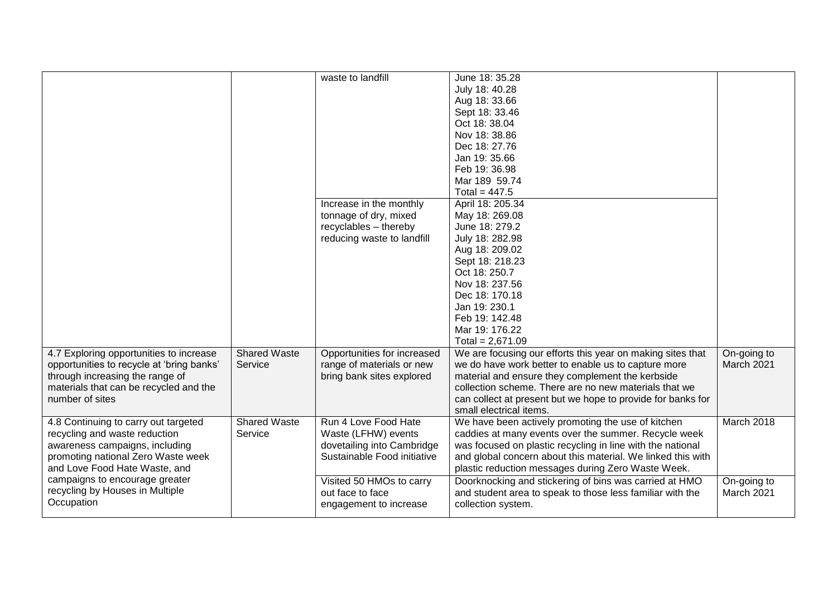|                                                                                                                                                                                |                         | waste to landfill<br>Increase in the monthly<br>tonnage of dry, mixed<br>recyclables - thereby<br>reducing waste to landfill | June 18: 35.28<br>July 18: 40.28<br>Aug 18: 33.66<br>Sept 18: 33.46<br>Oct 18: 38.04<br>Nov 18: 38.86<br>Dec 18: 27.76<br>Jan 19: 35.66<br>Feb 19: 36.98<br>Mar 189 59.74<br>Total = $447.5$<br>April 18: 205.34<br>May 18: 269.08<br>June 18: 279.2<br>July 18: 282.98<br>Aug 18: 209.02<br>Sept 18: 218.23<br>Oct 18: 250.7<br>Nov 18: 237.56<br>Dec 18: 170.18<br>Jan 19: 230.1 |                           |
|--------------------------------------------------------------------------------------------------------------------------------------------------------------------------------|-------------------------|------------------------------------------------------------------------------------------------------------------------------|------------------------------------------------------------------------------------------------------------------------------------------------------------------------------------------------------------------------------------------------------------------------------------------------------------------------------------------------------------------------------------|---------------------------|
| 4.7 Exploring opportunities to increase                                                                                                                                        | <b>Shared Waste</b>     | Opportunities for increased                                                                                                  | Feb 19: 142.48<br>Mar 19: 176.22<br>Total = $2,671.09$<br>We are focusing our efforts this year on making sites that                                                                                                                                                                                                                                                               | On-going to               |
| opportunities to recycle at 'bring banks'<br>through increasing the range of<br>materials that can be recycled and the<br>number of sites                                      | Service                 | range of materials or new<br>bring bank sites explored                                                                       | we do have work better to enable us to capture more<br>material and ensure they complement the kerbside<br>collection scheme. There are no new materials that we<br>can collect at present but we hope to provide for banks for<br>small electrical items.                                                                                                                         | March 2021                |
| 4.8 Continuing to carry out targeted<br>recycling and waste reduction<br>awareness campaigns, including<br>promoting national Zero Waste week<br>and Love Food Hate Waste, and | Shared Waste<br>Service | Run 4 Love Food Hate<br>Waste (LFHW) events<br>dovetailing into Cambridge<br>Sustainable Food initiative                     | We have been actively promoting the use of kitchen<br>caddies at many events over the summer. Recycle week<br>was focused on plastic recycling in line with the national<br>and global concern about this material. We linked this with<br>plastic reduction messages during Zero Waste Week.                                                                                      | March 2018                |
| campaigns to encourage greater<br>recycling by Houses in Multiple<br>Occupation                                                                                                |                         | Visited 50 HMOs to carry<br>out face to face<br>engagement to increase                                                       | Doorknocking and stickering of bins was carried at HMO<br>and student area to speak to those less familiar with the<br>collection system.                                                                                                                                                                                                                                          | On-going to<br>March 2021 |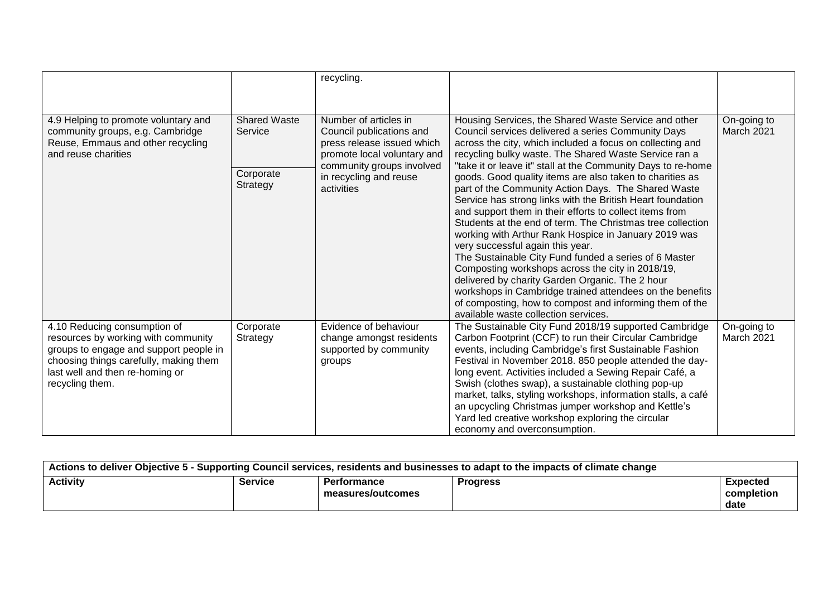|                                                                                                                                                                                                               |                                                         | recycling.                                                                                                                                                                          |                                                                                                                                                                                                                                                                                                                                                                                                                                                                                                                                                                                                                                                                                                                                                                                                                                                                                                                                                                                                                                       |                           |
|---------------------------------------------------------------------------------------------------------------------------------------------------------------------------------------------------------------|---------------------------------------------------------|-------------------------------------------------------------------------------------------------------------------------------------------------------------------------------------|---------------------------------------------------------------------------------------------------------------------------------------------------------------------------------------------------------------------------------------------------------------------------------------------------------------------------------------------------------------------------------------------------------------------------------------------------------------------------------------------------------------------------------------------------------------------------------------------------------------------------------------------------------------------------------------------------------------------------------------------------------------------------------------------------------------------------------------------------------------------------------------------------------------------------------------------------------------------------------------------------------------------------------------|---------------------------|
| 4.9 Helping to promote voluntary and<br>community groups, e.g. Cambridge<br>Reuse, Emmaus and other recycling<br>and reuse charities                                                                          | <b>Shared Waste</b><br>Service<br>Corporate<br>Strategy | Number of articles in<br>Council publications and<br>press release issued which<br>promote local voluntary and<br>community groups involved<br>in recycling and reuse<br>activities | Housing Services, the Shared Waste Service and other<br>Council services delivered a series Community Days<br>across the city, which included a focus on collecting and<br>recycling bulky waste. The Shared Waste Service ran a<br>"take it or leave it" stall at the Community Days to re-home<br>goods. Good quality items are also taken to charities as<br>part of the Community Action Days. The Shared Waste<br>Service has strong links with the British Heart foundation<br>and support them in their efforts to collect items from<br>Students at the end of term. The Christmas tree collection<br>working with Arthur Rank Hospice in January 2019 was<br>very successful again this year.<br>The Sustainable City Fund funded a series of 6 Master<br>Composting workshops across the city in 2018/19,<br>delivered by charity Garden Organic. The 2 hour<br>workshops in Cambridge trained attendees on the benefits<br>of composting, how to compost and informing them of the<br>available waste collection services. | On-going to<br>March 2021 |
| 4.10 Reducing consumption of<br>resources by working with community<br>groups to engage and support people in<br>choosing things carefully, making them<br>last well and then re-homing or<br>recycling them. | Corporate<br>Strategy                                   | Evidence of behaviour<br>change amongst residents<br>supported by community<br>groups                                                                                               | The Sustainable City Fund 2018/19 supported Cambridge<br>Carbon Footprint (CCF) to run their Circular Cambridge<br>events, including Cambridge's first Sustainable Fashion<br>Festival in November 2018. 850 people attended the day-<br>long event. Activities included a Sewing Repair Café, a<br>Swish (clothes swap), a sustainable clothing pop-up<br>market, talks, styling workshops, information stalls, a café<br>an upcycling Christmas jumper workshop and Kettle's<br>Yard led creative workshop exploring the circular<br>economy and overconsumption.                                                                                                                                                                                                                                                                                                                                                                                                                                                                   | On-going to<br>March 2021 |

| Actions to deliver Objective 5 - Supporting Council services, residents and businesses to adapt to the impacts of climate change |         |                                         |                 |                                       |
|----------------------------------------------------------------------------------------------------------------------------------|---------|-----------------------------------------|-----------------|---------------------------------------|
| <b>Activity</b>                                                                                                                  | Service | <b>Performance</b><br>measures/outcomes | <b>Progress</b> | <b>Expected</b><br>completion<br>date |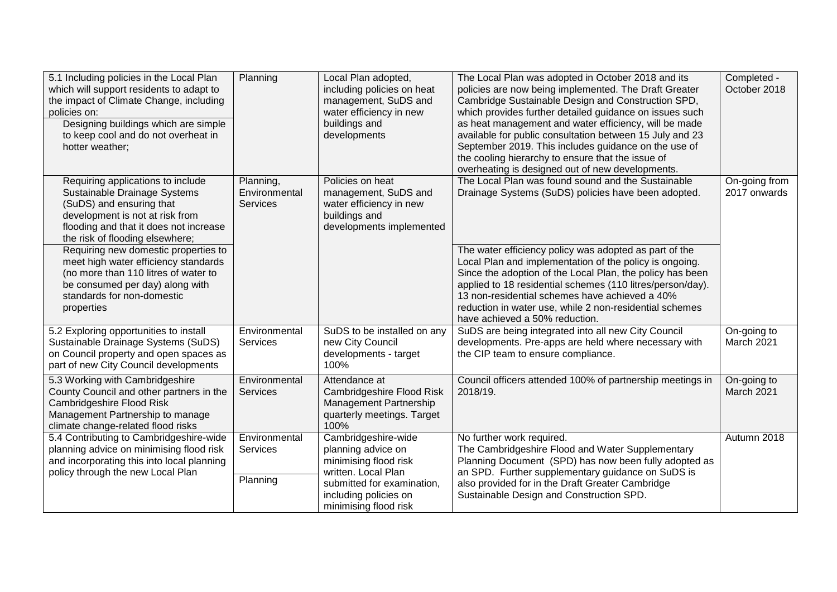| 5.1 Including policies in the Local Plan<br>which will support residents to adapt to<br>the impact of Climate Change, including<br>policies on:<br>Designing buildings which are simple<br>to keep cool and do not overheat in<br>hotter weather;     | Planning                                      | Local Plan adopted,<br>including policies on heat<br>management, SuDS and<br>water efficiency in new<br>buildings and<br>developments                                     | The Local Plan was adopted in October 2018 and its<br>policies are now being implemented. The Draft Greater<br>Cambridge Sustainable Design and Construction SPD,<br>which provides further detailed guidance on issues such<br>as heat management and water efficiency, will be made<br>available for public consultation between 15 July and 23<br>September 2019. This includes guidance on the use of<br>the cooling hierarchy to ensure that the issue of<br>overheating is designed out of new developments. | Completed -<br>October 2018      |
|-------------------------------------------------------------------------------------------------------------------------------------------------------------------------------------------------------------------------------------------------------|-----------------------------------------------|---------------------------------------------------------------------------------------------------------------------------------------------------------------------------|--------------------------------------------------------------------------------------------------------------------------------------------------------------------------------------------------------------------------------------------------------------------------------------------------------------------------------------------------------------------------------------------------------------------------------------------------------------------------------------------------------------------|----------------------------------|
| Requiring applications to include<br>Sustainable Drainage Systems<br>(SuDS) and ensuring that<br>development is not at risk from<br>flooding and that it does not increase<br>the risk of flooding elsewhere;<br>Requiring new domestic properties to | Planning,<br>Environmental<br><b>Services</b> | Policies on heat<br>management, SuDS and<br>water efficiency in new<br>buildings and<br>developments implemented                                                          | The Local Plan was found sound and the Sustainable<br>Drainage Systems (SuDS) policies have been adopted.<br>The water efficiency policy was adopted as part of the                                                                                                                                                                                                                                                                                                                                                | On-going from<br>2017 onwards    |
| meet high water efficiency standards<br>(no more than 110 litres of water to<br>be consumed per day) along with<br>standards for non-domestic<br>properties                                                                                           |                                               |                                                                                                                                                                           | Local Plan and implementation of the policy is ongoing.<br>Since the adoption of the Local Plan, the policy has been<br>applied to 18 residential schemes (110 litres/person/day).<br>13 non-residential schemes have achieved a 40%<br>reduction in water use, while 2 non-residential schemes<br>have achieved a 50% reduction.                                                                                                                                                                                  |                                  |
| 5.2 Exploring opportunities to install<br>Sustainable Drainage Systems (SuDS)<br>on Council property and open spaces as<br>part of new City Council developments                                                                                      | Environmental<br><b>Services</b>              | SuDS to be installed on any<br>new City Council<br>developments - target<br>100%                                                                                          | SuDS are being integrated into all new City Council<br>developments. Pre-apps are held where necessary with<br>the CIP team to ensure compliance.                                                                                                                                                                                                                                                                                                                                                                  | On-going to<br>March 2021        |
| 5.3 Working with Cambridgeshire<br>County Council and other partners in the<br>Cambridgeshire Flood Risk<br>Management Partnership to manage<br>climate change-related flood risks                                                                    | Environmental<br><b>Services</b>              | Attendance at<br>Cambridgeshire Flood Risk<br>Management Partnership<br>quarterly meetings. Target<br>100%                                                                | Council officers attended 100% of partnership meetings in<br>2018/19.                                                                                                                                                                                                                                                                                                                                                                                                                                              | On-going to<br><b>March 2021</b> |
| 5.4 Contributing to Cambridgeshire-wide<br>planning advice on minimising flood risk<br>and incorporating this into local planning<br>policy through the new Local Plan                                                                                | Environmental<br>Services<br>Planning         | Cambridgeshire-wide<br>planning advice on<br>minimising flood risk<br>written. Local Plan<br>submitted for examination,<br>including policies on<br>minimising flood risk | No further work required.<br>The Cambridgeshire Flood and Water Supplementary<br>Planning Document (SPD) has now been fully adopted as<br>an SPD. Further supplementary guidance on SuDS is<br>also provided for in the Draft Greater Cambridge<br>Sustainable Design and Construction SPD.                                                                                                                                                                                                                        | Autumn 2018                      |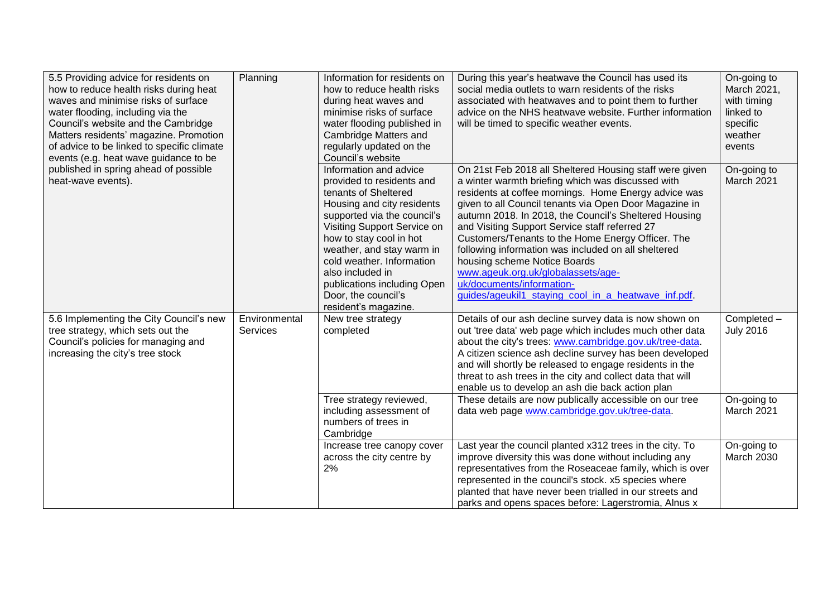| 5.5 Providing advice for residents on<br>how to reduce health risks during heat<br>waves and minimise risks of surface<br>water flooding, including via the<br>Council's website and the Cambridge<br>Matters residents' magazine. Promotion<br>of advice to be linked to specific climate<br>events (e.g. heat wave guidance to be | Planning                  | Information for residents on<br>how to reduce health risks<br>during heat waves and<br>minimise risks of surface<br>water flooding published in<br>Cambridge Matters and<br>regularly updated on the<br>Council's website                                                                                                                                      | During this year's heatwave the Council has used its<br>social media outlets to warn residents of the risks<br>associated with heatwaves and to point them to further<br>advice on the NHS heatwave website. Further information<br>will be timed to specific weather events.                                                                                                                                                                                                                                                                                                                                   | On-going to<br>March 2021,<br>with timing<br>linked to<br>specific<br>weather<br>events |
|-------------------------------------------------------------------------------------------------------------------------------------------------------------------------------------------------------------------------------------------------------------------------------------------------------------------------------------|---------------------------|----------------------------------------------------------------------------------------------------------------------------------------------------------------------------------------------------------------------------------------------------------------------------------------------------------------------------------------------------------------|-----------------------------------------------------------------------------------------------------------------------------------------------------------------------------------------------------------------------------------------------------------------------------------------------------------------------------------------------------------------------------------------------------------------------------------------------------------------------------------------------------------------------------------------------------------------------------------------------------------------|-----------------------------------------------------------------------------------------|
| published in spring ahead of possible<br>heat-wave events).                                                                                                                                                                                                                                                                         |                           | Information and advice<br>provided to residents and<br>tenants of Sheltered<br>Housing and city residents<br>supported via the council's<br>Visiting Support Service on<br>how to stay cool in hot<br>weather, and stay warm in<br>cold weather. Information<br>also included in<br>publications including Open<br>Door, the council's<br>resident's magazine. | On 21st Feb 2018 all Sheltered Housing staff were given<br>a winter warmth briefing which was discussed with<br>residents at coffee mornings. Home Energy advice was<br>given to all Council tenants via Open Door Magazine in<br>autumn 2018. In 2018, the Council's Sheltered Housing<br>and Visiting Support Service staff referred 27<br>Customers/Tenants to the Home Energy Officer. The<br>following information was included on all sheltered<br>housing scheme Notice Boards<br>www.ageuk.org.uk/globalassets/age-<br>uk/documents/information-<br>guides/ageukil1_staying_cool_in_a_heatwave_inf.pdf. | On-going to<br>March 2021                                                               |
| 5.6 Implementing the City Council's new<br>tree strategy, which sets out the<br>Council's policies for managing and<br>increasing the city's tree stock                                                                                                                                                                             | Environmental<br>Services | New tree strategy<br>completed                                                                                                                                                                                                                                                                                                                                 | Details of our ash decline survey data is now shown on<br>out 'tree data' web page which includes much other data<br>about the city's trees: www.cambridge.gov.uk/tree-data.<br>A citizen science ash decline survey has been developed<br>and will shortly be released to engage residents in the<br>threat to ash trees in the city and collect data that will<br>enable us to develop an ash die back action plan                                                                                                                                                                                            | Completed -<br><b>July 2016</b>                                                         |
|                                                                                                                                                                                                                                                                                                                                     |                           | Tree strategy reviewed,<br>including assessment of<br>numbers of trees in<br>Cambridge                                                                                                                                                                                                                                                                         | These details are now publically accessible on our tree<br>data web page www.cambridge.gov.uk/tree-data.                                                                                                                                                                                                                                                                                                                                                                                                                                                                                                        | On-going to<br>March 2021                                                               |
|                                                                                                                                                                                                                                                                                                                                     |                           | Increase tree canopy cover<br>across the city centre by<br>2%                                                                                                                                                                                                                                                                                                  | Last year the council planted x312 trees in the city. To<br>improve diversity this was done without including any<br>representatives from the Roseaceae family, which is over<br>represented in the council's stock. x5 species where<br>planted that have never been trialled in our streets and<br>parks and opens spaces before: Lagerstromia, Alnus x                                                                                                                                                                                                                                                       | On-going to<br><b>March 2030</b>                                                        |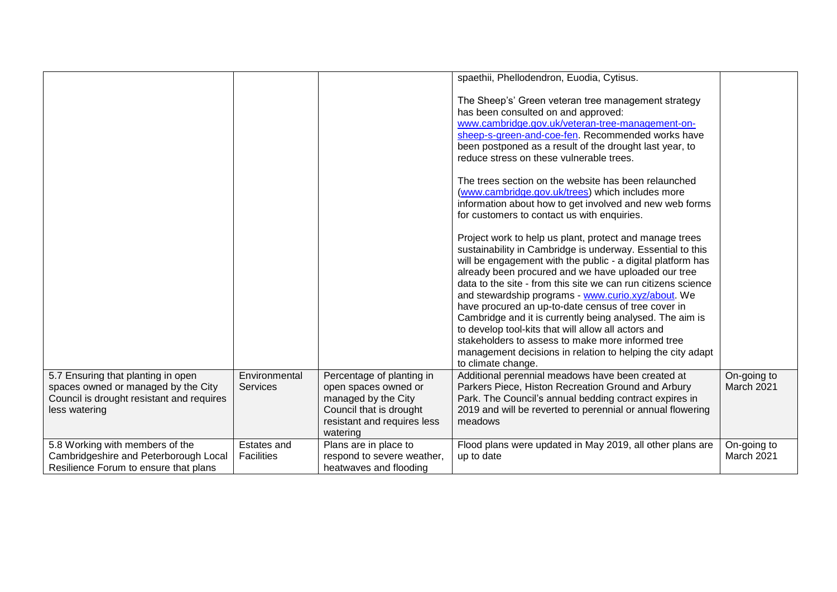|                                                                                                                                         |                                         |                                                                                                                                                | spaethii, Phellodendron, Euodia, Cytisus.                                                                                                                                                                                                                                                                                                                                                                                                                                                                                                                                                                                                                                             |                           |
|-----------------------------------------------------------------------------------------------------------------------------------------|-----------------------------------------|------------------------------------------------------------------------------------------------------------------------------------------------|---------------------------------------------------------------------------------------------------------------------------------------------------------------------------------------------------------------------------------------------------------------------------------------------------------------------------------------------------------------------------------------------------------------------------------------------------------------------------------------------------------------------------------------------------------------------------------------------------------------------------------------------------------------------------------------|---------------------------|
|                                                                                                                                         |                                         |                                                                                                                                                | The Sheep's' Green veteran tree management strategy<br>has been consulted on and approved:<br>www.cambridge.gov.uk/veteran-tree-management-on-<br>sheep-s-green-and-coe-fen. Recommended works have<br>been postponed as a result of the drought last year, to<br>reduce stress on these vulnerable trees.                                                                                                                                                                                                                                                                                                                                                                            |                           |
|                                                                                                                                         |                                         |                                                                                                                                                | The trees section on the website has been relaunched<br>(www.cambridge.gov.uk/trees) which includes more<br>information about how to get involved and new web forms<br>for customers to contact us with enquiries.                                                                                                                                                                                                                                                                                                                                                                                                                                                                    |                           |
|                                                                                                                                         |                                         |                                                                                                                                                | Project work to help us plant, protect and manage trees<br>sustainability in Cambridge is underway. Essential to this<br>will be engagement with the public - a digital platform has<br>already been procured and we have uploaded our tree<br>data to the site - from this site we can run citizens science<br>and stewardship programs - www.curio.xyz/about. We<br>have procured an up-to-date census of tree cover in<br>Cambridge and it is currently being analysed. The aim is<br>to develop tool-kits that will allow all actors and<br>stakeholders to assess to make more informed tree<br>management decisions in relation to helping the city adapt<br>to climate change. |                           |
| 5.7 Ensuring that planting in open<br>spaces owned or managed by the City<br>Council is drought resistant and requires<br>less watering | Environmental<br><b>Services</b>        | Percentage of planting in<br>open spaces owned or<br>managed by the City<br>Council that is drought<br>resistant and requires less<br>watering | Additional perennial meadows have been created at<br>Parkers Piece, Histon Recreation Ground and Arbury<br>Park. The Council's annual bedding contract expires in<br>2019 and will be reverted to perennial or annual flowering<br>meadows                                                                                                                                                                                                                                                                                                                                                                                                                                            | On-going to<br>March 2021 |
| 5.8 Working with members of the<br>Cambridgeshire and Peterborough Local<br>Resilience Forum to ensure that plans                       | <b>Estates and</b><br><b>Facilities</b> | Plans are in place to<br>respond to severe weather,<br>heatwaves and flooding                                                                  | Flood plans were updated in May 2019, all other plans are<br>up to date                                                                                                                                                                                                                                                                                                                                                                                                                                                                                                                                                                                                               | On-going to<br>March 2021 |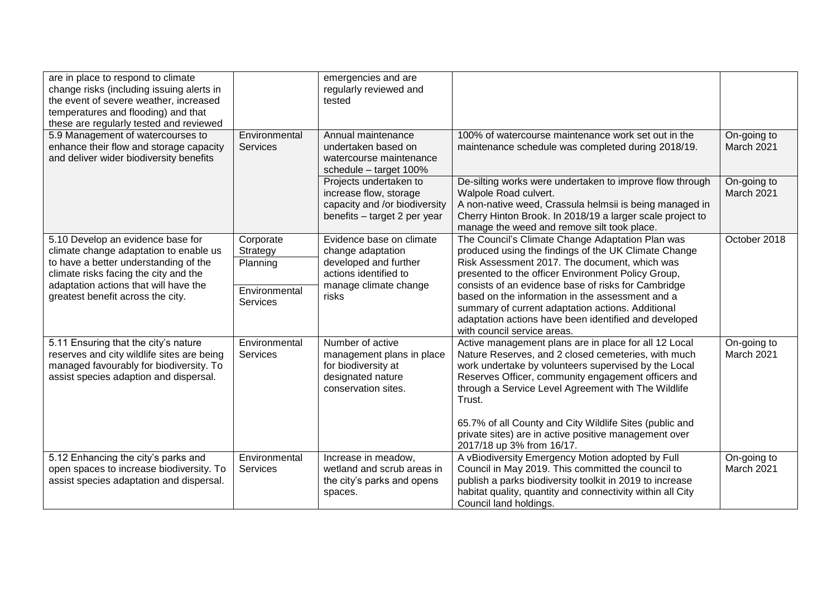| are in place to respond to climate<br>change risks (including issuing alerts in<br>the event of severe weather, increased<br>temperatures and flooding) and that<br>these are regularly tested and reviewed                                 |                                  | emergencies and are<br>regularly reviewed and<br>tested                                                                           |                                                                                                                                                                                                                                                                                                                                                                                                                  |                           |
|---------------------------------------------------------------------------------------------------------------------------------------------------------------------------------------------------------------------------------------------|----------------------------------|-----------------------------------------------------------------------------------------------------------------------------------|------------------------------------------------------------------------------------------------------------------------------------------------------------------------------------------------------------------------------------------------------------------------------------------------------------------------------------------------------------------------------------------------------------------|---------------------------|
| 5.9 Management of watercourses to<br>enhance their flow and storage capacity<br>and deliver wider biodiversity benefits                                                                                                                     | Environmental<br><b>Services</b> | Annual maintenance<br>undertaken based on<br>watercourse maintenance<br>schedule - target 100%                                    | 100% of watercourse maintenance work set out in the<br>maintenance schedule was completed during 2018/19.                                                                                                                                                                                                                                                                                                        | On-going to<br>March 2021 |
|                                                                                                                                                                                                                                             |                                  | Projects undertaken to<br>increase flow, storage<br>capacity and /or biodiversity<br>benefits - target 2 per year                 | De-silting works were undertaken to improve flow through<br>Walpole Road culvert.<br>A non-native weed, Crassula helmsii is being managed in<br>Cherry Hinton Brook. In 2018/19 a larger scale project to<br>manage the weed and remove silt took place.                                                                                                                                                         | On-going to<br>March 2021 |
| 5.10 Develop an evidence base for<br>climate change adaptation to enable us<br>to have a better understanding of the<br>climate risks facing the city and the<br>adaptation actions that will have the<br>greatest benefit across the city. | Corporate<br>Strategy            | Evidence base on climate<br>change adaptation<br>developed and further<br>actions identified to<br>manage climate change<br>risks | The Council's Climate Change Adaptation Plan was<br>produced using the findings of the UK Climate Change                                                                                                                                                                                                                                                                                                         | October 2018              |
|                                                                                                                                                                                                                                             | Planning                         |                                                                                                                                   | Risk Assessment 2017. The document, which was<br>presented to the officer Environment Policy Group,                                                                                                                                                                                                                                                                                                              |                           |
|                                                                                                                                                                                                                                             | Environmental<br>Services        |                                                                                                                                   | consists of an evidence base of risks for Cambridge<br>based on the information in the assessment and a<br>summary of current adaptation actions. Additional<br>adaptation actions have been identified and developed<br>with council service areas.                                                                                                                                                             |                           |
| 5.11 Ensuring that the city's nature<br>reserves and city wildlife sites are being<br>managed favourably for biodiversity. To<br>assist species adaption and dispersal.                                                                     | Environmental<br><b>Services</b> | Number of active<br>management plans in place<br>for biodiversity at<br>designated nature<br>conservation sites.                  | Active management plans are in place for all 12 Local<br>Nature Reserves, and 2 closed cemeteries, with much<br>work undertake by volunteers supervised by the Local<br>Reserves Officer, community engagement officers and<br>through a Service Level Agreement with The Wildlife<br>Trust.<br>65.7% of all County and City Wildlife Sites (public and<br>private sites) are in active positive management over | On-going to<br>March 2021 |
| 5.12 Enhancing the city's parks and                                                                                                                                                                                                         | Environmental                    | Increase in meadow,                                                                                                               | 2017/18 up 3% from 16/17.<br>A vBiodiversity Emergency Motion adopted by Full                                                                                                                                                                                                                                                                                                                                    | On-going to               |
| open spaces to increase biodiversity. To<br>assist species adaptation and dispersal.                                                                                                                                                        | <b>Services</b>                  | wetland and scrub areas in<br>the city's parks and opens<br>spaces.                                                               | Council in May 2019. This committed the council to<br>publish a parks biodiversity toolkit in 2019 to increase<br>habitat quality, quantity and connectivity within all City<br>Council land holdings.                                                                                                                                                                                                           | March 2021                |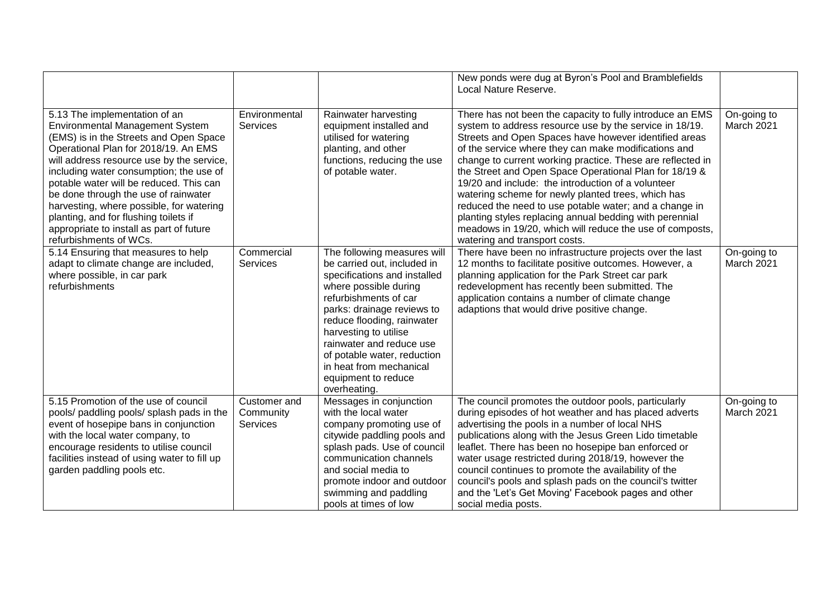|                                                                                                                                                                                                                                                                                                                                                                                                                                                                                                 |                                              |                                                                                                                                                                                                                                                                                                                                                                | New ponds were dug at Byron's Pool and Bramblefields<br>Local Nature Reserve.                                                                                                                                                                                                                                                                                                                                                                                                                                                                                                                                                                                                               |                           |
|-------------------------------------------------------------------------------------------------------------------------------------------------------------------------------------------------------------------------------------------------------------------------------------------------------------------------------------------------------------------------------------------------------------------------------------------------------------------------------------------------|----------------------------------------------|----------------------------------------------------------------------------------------------------------------------------------------------------------------------------------------------------------------------------------------------------------------------------------------------------------------------------------------------------------------|---------------------------------------------------------------------------------------------------------------------------------------------------------------------------------------------------------------------------------------------------------------------------------------------------------------------------------------------------------------------------------------------------------------------------------------------------------------------------------------------------------------------------------------------------------------------------------------------------------------------------------------------------------------------------------------------|---------------------------|
| 5.13 The implementation of an<br><b>Environmental Management System</b><br>(EMS) is in the Streets and Open Space<br>Operational Plan for 2018/19. An EMS<br>will address resource use by the service,<br>including water consumption; the use of<br>potable water will be reduced. This can<br>be done through the use of rainwater<br>harvesting, where possible, for watering<br>planting, and for flushing toilets if<br>appropriate to install as part of future<br>refurbishments of WCs. | Environmental<br><b>Services</b>             | Rainwater harvesting<br>equipment installed and<br>utilised for watering<br>planting, and other<br>functions, reducing the use<br>of potable water.                                                                                                                                                                                                            | There has not been the capacity to fully introduce an EMS<br>system to address resource use by the service in 18/19.<br>Streets and Open Spaces have however identified areas<br>of the service where they can make modifications and<br>change to current working practice. These are reflected in<br>the Street and Open Space Operational Plan for 18/19 &<br>19/20 and include: the introduction of a volunteer<br>watering scheme for newly planted trees, which has<br>reduced the need to use potable water; and a change in<br>planting styles replacing annual bedding with perennial<br>meadows in 19/20, which will reduce the use of composts,<br>watering and transport costs. | On-going to<br>March 2021 |
| 5.14 Ensuring that measures to help<br>adapt to climate change are included,<br>where possible, in car park<br>refurbishments                                                                                                                                                                                                                                                                                                                                                                   | Commercial<br><b>Services</b>                | The following measures will<br>be carried out, included in<br>specifications and installed<br>where possible during<br>refurbishments of car<br>parks: drainage reviews to<br>reduce flooding, rainwater<br>harvesting to utilise<br>rainwater and reduce use<br>of potable water, reduction<br>in heat from mechanical<br>equipment to reduce<br>overheating. | There have been no infrastructure projects over the last<br>12 months to facilitate positive outcomes. However, a<br>planning application for the Park Street car park<br>redevelopment has recently been submitted. The<br>application contains a number of climate change<br>adaptions that would drive positive change.                                                                                                                                                                                                                                                                                                                                                                  | On-going to<br>March 2021 |
| 5.15 Promotion of the use of council<br>pools/ paddling pools/ splash pads in the<br>event of hosepipe bans in conjunction<br>with the local water company, to<br>encourage residents to utilise council<br>facilities instead of using water to fill up<br>garden paddling pools etc.                                                                                                                                                                                                          | Customer and<br>Community<br><b>Services</b> | Messages in conjunction<br>with the local water<br>company promoting use of<br>citywide paddling pools and<br>splash pads. Use of council<br>communication channels<br>and social media to<br>promote indoor and outdoor<br>swimming and paddling<br>pools at times of low                                                                                     | The council promotes the outdoor pools, particularly<br>during episodes of hot weather and has placed adverts<br>advertising the pools in a number of local NHS<br>publications along with the Jesus Green Lido timetable<br>leaflet. There has been no hosepipe ban enforced or<br>water usage restricted during 2018/19, however the<br>council continues to promote the availability of the<br>council's pools and splash pads on the council's twitter<br>and the 'Let's Get Moving' Facebook pages and other<br>social media posts.                                                                                                                                                    | On-going to<br>March 2021 |